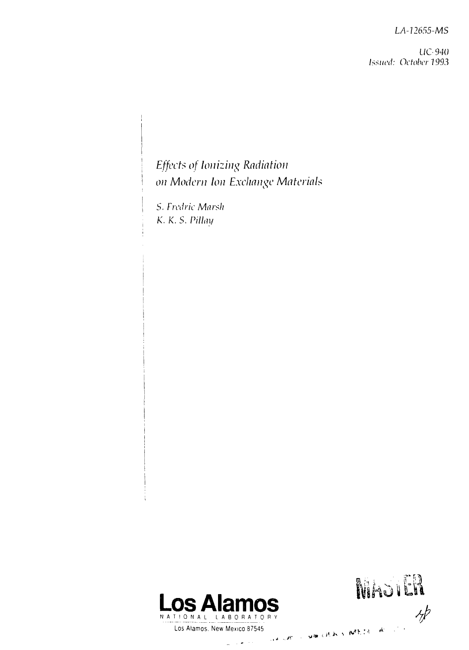*LA-U655-MS*

*UC- 940 Issued: October 1993*

# *Effects of Ionizing Radiation on Modern Ion Exchange Materials*

*S. Frcdric Marsh K.K.S. Pillm/*



أنتبه الفرار

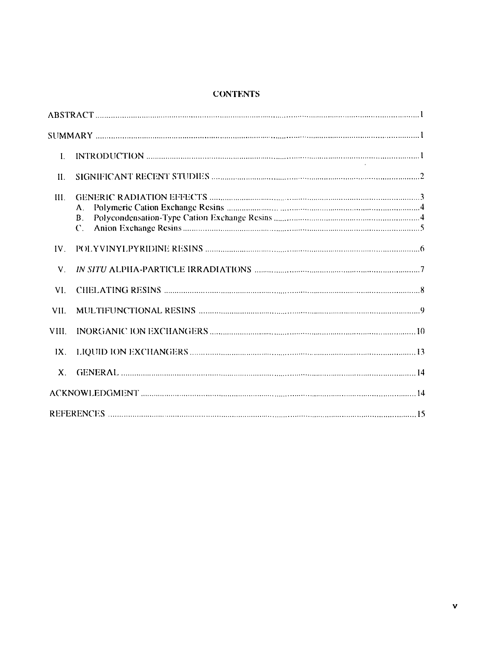# CONTENTS

| L              |                             |  |
|----------------|-----------------------------|--|
| $\Pi$ .        |                             |  |
| HL.            | A.<br>В.<br>$\mathcal{C}$ . |  |
| IV             |                             |  |
| V.             |                             |  |
| VI.            |                             |  |
| VII.           |                             |  |
| VIII.          |                             |  |
| $IX$ .         |                             |  |
| $\mathbf{X}$ . |                             |  |
|                |                             |  |
|                |                             |  |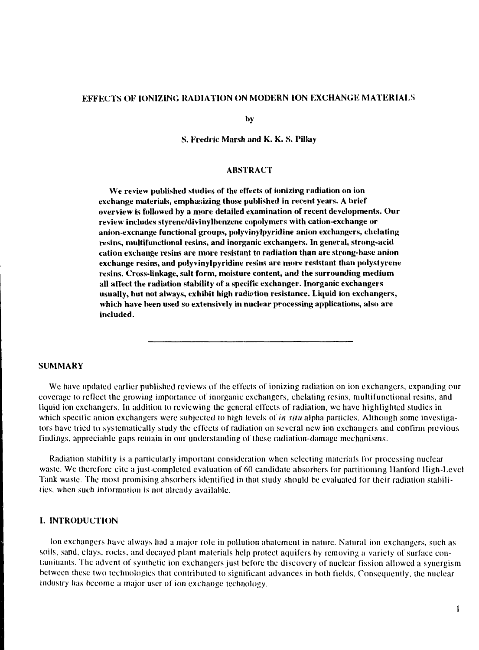## **EFFECTS OF IONIZING RADIATION ON MODERN ION EXCHANGE MATERIALS**

**by**

**S. Fredric Marsh and K. K. S. Pillay**

#### **ABSTRACT**

**We review published studies of the effects of ionizing radiation on ion exchange materials, emphasizing those published in recent years. A brief overview is followed by a** more **detailed examination of recent developments. Our review includes styrene/divinylhenzene copolymers with cation-exchange or anion-exchange functional groups, polyvinylpyridine anion exchangers, chelating resins, multifunctional resins, and inorganic exchangers. In general, strong-acid cation exchange resins are more resistant to radiation than arc strong-base anion exchange resins, and polyvinylpyridine resins are more resistant than polystyrene resins. Cross-linkage, salt form, moisture content, and the surrounding medium all affect the radiation stability of a specific exchanger. Inorganic exchangers usually, hut not always, exhibit high radiction resistance. Liquid ion exchangers, which have been used so extensively in nuclear processing applications, also are included.**

# **SUMMARY**

We have updated earlier published reviews of the effects of ionizing radiation on ion exchangers, expanding our coverage to reflect the growing importance of inorganic exchangers, chelating resins, multifunctional resins, and liquid ion exchangers. In addition to reviewing the general effects of radiation, we have highlighted studies in which specific anion exchangers were subjected to high levels of *in situ* alpha particles. Although some investigators have tried to systematically study the effects of radiation on several new ion exchangers and confirm previous findings, appreciable gaps remain in our understanding of these radiation-damage mechanisms.

Radiation stability is a particularly important consideration when selecting materials for processing nuclear waste. We therefore cite a just-completed evaluation of 60 candidate absorbers for partitioning Hanford lligh-I.evel Tank waste. The most promising absorbers identified in that study should be evaluated for their radiation stabilities, when such information is not already available.

#### **I. INTRODUCTION**

Ion exchangers have always had a major role in pollution abatement in nature. Natural ion exchangers, such as soils, sand, clays, rocks, and decayed plant materials help protect aquifers by removing a variety of surface contaminants. The advent of synthetic ion exchangers just before the discovery of nuclear fission allowed a syncrgism between these two technologies that contributed to significant advances in both fields. Consequently, the nuclear industry has become a major user of ion exchange technology.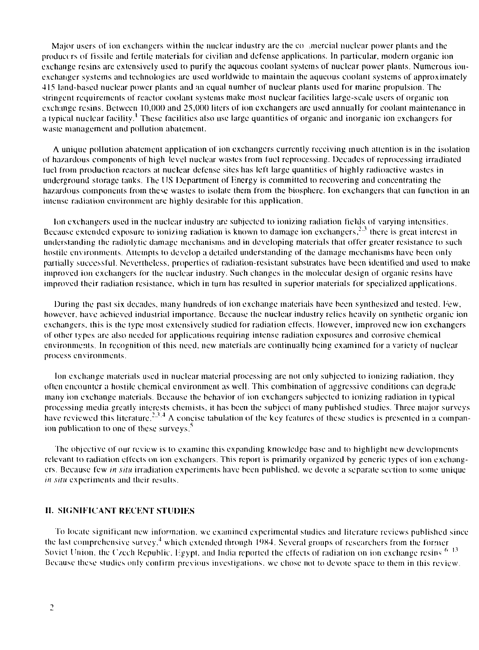Major users of ion exchangers within the nuclear industry are the co-mercial nuclear power plants and the producers of fissile and fertile materials for civilian and defense applications. In particular, modern organic ion exchange resins are extensively used to purify the aqueous coolant systems of nuclear power plants. Numerous ionexchanger systems and technologies are used worldwide to maintain the aqueous coolant systems of approximately 415 land-based nuclear power plants and an equal number of nuclear plants used for marine propulsion. The stringent requirements of reactor coolant systems make most nuclear facilities large-scale users of organic ion exchange resins. Between 10,000 and 25,000 liters of ion exchangers are used annually for coolant maintenance in a typical nuclear facility.<sup>1</sup> These facilities also use large quantities of organic and inorganic ion exchangers for waste management and pollution abatement.

A unique pollution abatement application of ion exchangers currently receiving much attention is in the isolation of hazardous components of high level nuclear wastes from fuel reprocessing. Decades of reprocessing irradiated fuel from production reactors at nuclear defense sites has left large quantities of highly radioactive wastes in underground storage tanks. The US Department of Energy is committed to recovering and concentrating the hazardous components from these wastes to isolate them from the biosphere. Ion exchangers that can function in an intense radiation environment are highly desirable for this application.

Ion exchangers used in the nuclear industry are subjected to ionizing radiation fields of varying intensities. Because extended exposure to ionizing radiation is known to damage ion exchangers, $2.3$  there is great interest in understanding the radiolytie damage mechanisms and in developing materials that offer greater resistance lo such hostile environments. Attempts to develop a detailed understanding of the damage mechanisms have been only partially successful. Nevertheless, properties of radiation-resistant substrates have been identified and used to make improved ion exchangers for the nuclear industry. Such changes in the molecular design of organic resins have improved their radiation resistance, which in turn has resulted in superior materials for specialized applications.

During the past six decades, many hundreds of ion exchange materials have been synthesized and tested. Few, however, have achieved industrial importance. Because the nuclear industry relies heavily on synthetic organic ion exchangers, this is the type most extensively studied for radiation effects. However, improved new ion exchangers of other types are also needed for applications requiring intense radiation exposures and corrosive chemical environments. In recognition of this need, new materials are continually being examined for a variety of nuclear process environments.

Ion exchange materials used in nuclear material processing are not only subjected to ionizing radiation, they often encounter a hostile chemical environment as well. This combination of aggressive conditions can degraJe many ion exchange materials. Because the behavior of ion exchangers subjected to ionizing radiation in typical processing media greatly interests chemists, it has been the subject of many published studies. Three major surveys have reviewed this literature.<sup>2,3,4</sup> A concise tabulation of the key features of these studies is presented in a companion publication to one of these surveys.<sup>5</sup>

The objective of our review is to examine this expanding knowledge base and to highlight new developments relevant to radiation effects on ion exchangers. This report is primarily organized by generic types of ion exchangers. Because few *in situ* irradiation experiments have been published, we devote a separate section to some unique *in situ* experiments and their results.

# II. SIGNIFICANT RECENT STUDIES

To locate significant new information, we examined experimental studies and literature reviews published since the last comprehensive survey,<sup>4</sup> which extended through 1984. Several groups of researchers from the former Soviet Union, the Czech Republic, Hgypt, and India reported the effects of radiation on ion exchange resins<sup>6-13</sup> Because these studies only confirm previous investigations, we chose not to devote space to them in this review.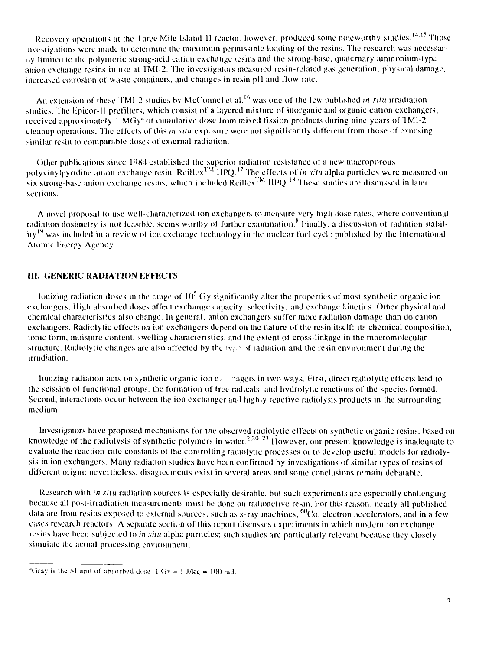Recovery operations at the Three Mile Island-11 reactor, however, produced some noteworthy studies.<sup>14,15</sup> Those investigations were made to determine the maximum permissible loading of the resins. The research was necessarily limited to the polymeric strong-acid cation exchange resins and the strong-base, quaternary ammonium-typ^ anion exchange resins in use at TMI-2. The investigators measured resin-related gas generation, physical damage, increased corrosion of waste containers, and changes in resin pH and flow rate.

An extension of these TM1-2 studies by McConnel et al.<sup>16</sup> was one of the few published *in situ* irradiation studies. The Epicor-II prefilters, which consist of a layered mixture of inorganic and organic cation exchangers, received approximately 1 MGy<sup>a</sup> of cumulative dose from mixed fission products during nine years of TMI-2 cleanup operations. The effects of this *in .situ* exposure were not significantly different from those of exposing similar resin to comparable doses of external radiation.

Other publications since 1984 established the superior radiation resistance of a new macroporous polyvinylpyridine anion exchange resin, Reillex<sup>TM</sup> HPQ.<sup>17</sup> The effects of *in situ* alpha particles were measured on six stronj six strong-base anion exchange resins, which included ReillexIM  **IIPQ.<sup>1</sup> "** These studies are discussed in later sections.

A novel proposal to use well-characterized ion exchangers to measure very high Jose rates, where conventional radiation dosimetry is not feasible, seems worthy of further examination.<sup>8</sup> Finally, a discussion of radiation stability<sup>19</sup> was included in a review of ion exchange technology in the nuclear fuel cycle published by the International Atomic Fnergy Agency.

# **III. GENERIC RADIATION EFFECTS**

lonizing radiation doses in the range of  $10^5$  Gy significantly alter the properties of most synthetic organic ion exchangers. High absorbed doses affect exchange capacity, selectivity, and exchange kinetics. Other physical and chemical characteristics also change. In general, anion exchangers suffer more radiation damage than do cation exchangers. Radiolytic effects on ion exchangers depend on the nature of the resin itself: its chemical composition, ionic form, moisture content, swelling characteristics, and the extent of cross-linkage in the macromolecular structure. Radiolytic changes are also affected by the  $\sqrt{v}$  of radiation and the resin environment during the irradiation.

Ionizing radiation acts on synthetic organic ion  $e_i$ , nagers in two ways. First, direct radiolytic effects lead to the scission of functional groups, the formation of free radicals, and hydrolytic reactions of the species formed. Second, interactions occur between the ion exchanger and highly reactive radiolysis products in the surrounding medium.

Investigators have proposed mechanisms for the observed radiolylic effects on synthetic organic resins, based on knowledge of the radiolysis of synthetic polymers in water.<sup>2,20-23</sup> However, our present knowledge is inadequate to evaluate the reaction-rate constants of the controlling radiolytic processes or to develop useful models for radiolysis in ion exchangers. Many radiation studies have been confirmed by investigations of similar types of resins of different origin: nevertheless, disagreements exist in several areas and some conclusions remain debatable.

Research with *in situ* radiation sources is especially desirable, but such experiments are especially challenging because all post-irradiation measurements must be done on radioactive resin. For this reason, nearly all published data are from resins exposed to external sources, such as x-ray machines,  $^{60}$ Co, electron accelerators, and in a few eases research reactors. A separate section of this report discusses experiments in which modern ion exchange resins have been subjected lo *in situ* alplu: particles: such studies are particularly relevant because they closely simulate die actual processing environment.

<sup>&</sup>lt;sup>4</sup>Gray is the SI unit of absorbed dose. 1 Gy = 1 J/kg = 100 rad.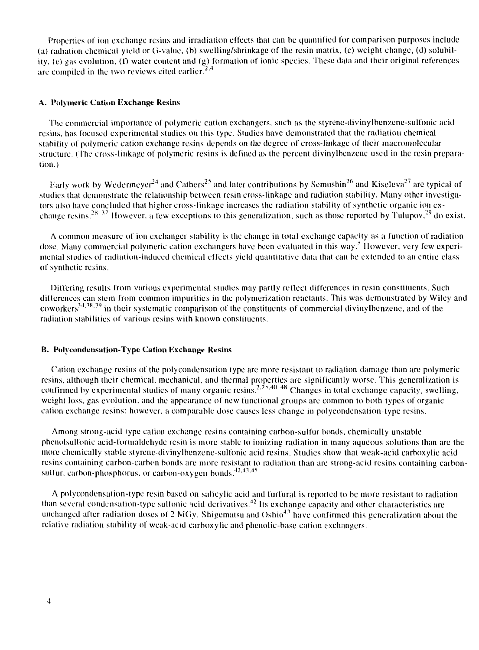Properties of ion exchange resins and irradiation effects thai can be quantified for comparison purposes include (a) radiation chemical yield or  $G$ -value, (b) swelling/shrinkage of the resin matrix, (c) weight change, (d) solubility, (e) gas evolution,  $(1)$  water content and  $(g)$  formation of ionic species. These data and their original references are compiled in the two reviews cited earlier. $2.4$ 

#### **A. Polymeric Cation Exchange Resins**

The commercial importance of polymeric cation exchangers, such as the styrene-divinylbenzene-sulfonic acid resins, has focused experimental studies on this type. Studies have demonstrated that the radiation chemical stability of polymeric cation exchange resins depends on the degree of cross-linkage of their macromolecular structure. (The cross-linkage of polymeric resins is defined as the percent divinylbenzene used in the resin preparation.)

Early work by Wedermeyer<sup>24</sup> and Cathers<sup>25</sup> and later contributions by Semushin<sup>26</sup> and Kiseleva<sup>27</sup> are typical of studies that demonstrate the relationship between resin cross-linkage and radiation stability. Many other investigators also have concluded that higher cross-linkage increases the radiation stability of synthetic organic ion exchange resins.<sup>28/37</sup> However, a few exceptions to this generalization, such as those reported by Tulupov,<sup>29</sup> do exist.

A common measure of ion exchanger stability is the change in total exchange capacity as a function of radiation dose. Many commercial polymeric cation exchangers have been evaluated in this way.<sup>5</sup> However, very few experimental studies of radiation-induced chemical effects yield quantitative data that can be extended to an entire class of synthetic resins.

Differing results from various experimental studies may partly reflect differences in resin constituents. Such differences can stem from common impurities in the polymerization reactants. This was demonstrated by Wiley and coworkers<sup>34,38,39</sup> in their systematic comparison of the constituents of commercial divinylbenzene, and of the radiation stabilities of various resins with known constituents.

# **B. Polvcondensation-Type Cation Exchange Resins**

Cation exchange resins of the polycondensation type are more resistant to radiation damage than are polymeric resins, although their chemical, mechanical, and thermal properties are significantly worse. This generalization is confirmed by experimental studies of many organic resins.<sup>2,25,40–48</sup> Changes in total exchange capacity, swelling, weight loss, gas evolution, and the appearance of new functional groups are common to both types of organiccation exchange resins; however, a comparable dose causes less change in polycondensation-type resins.

Among strong-acid type cation exchange resins containing carbon-sulfur bonds, chemically unstable phenolsulfonic acid-formaldehyde resin is more stable to ionizing radiation in many aqueous solutions than are the more chemically stable styrene-divinyibenzene-sulfonic acid resins. Studies show that weak-acid carboxylic acid resins containing carbon-carbon bonds are more resistant to radiation than are strong-acid resins containing carbonsulfur, carbon-phosphorus, or carbon-oxygen bonds. $42,43,45$ 

A polyeondensation-type resin based on salicylic acid and furfural is reported to be more resistant to radiation than several condensation-type sulfonic acid derivatives.<sup>42</sup> Its exchange capacity and other characteristics are unchanged after radiation doses of 2 MGy. Shigematsu and Oshio<sup>43</sup> have confirmed this generalization about the relative radiation stability of weak-acid carboxylic and phenolic-base cation exchangers.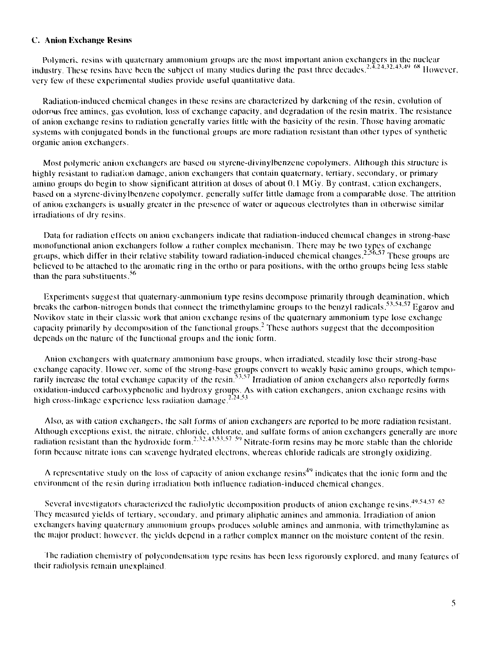#### C. Anion Exchange Resins

Polymeri, resins with quaternary ammonium groups are the most important anion exchangers in the nuclear industry. These resins have been the subject of many studies during the past three decades.<sup>2,4,24,32,43,49</sup>  $68$  However, very few of these experimental studies provide useful quantitative data.

Radiation-induced chemical changes in these resins are characterized by darkening of the resin, evolution of odorous free amines, gas evolution, loss of exchange capacity, and degradation of the resin matrix. The resistance of anion exchange resins to radiation generally varies litile with the basicity of the resin. Those having aromatic systems with conjugated bonds in the functional groups are more radiation resistant than other types of synthetic organic anion exchangers.

Most polymeric anion exchangers are based on stvrcne-divinylbenzene copolymers. Although this structure is highly resistant to radiation damage, anion exchangers that contain quaternary, tertiary, secondary, or primary amino groups do begin to show significant attrition at doses of about 0.1 MGy. By contrast, cation exchangers, based on a styrene-divinylbenzene copolymer, generally suffer little damage from a comparable dose. The attrition of union exchangers is usually greater in the presence of water or aqueous electrolytes than in otherwise similar irradiations of dry resins.

Data for radiation effects on union exchangers indicate that radiation-induced chemical changes in strong-base monofunctional anion exchangers follow a rather complex mechanism. There may be two types of exchange groups, which differ in their relative stability toward radiation-induced chemical changes.<sup>2,56,57</sup> These groups are believed to be attached to the aromatic ring in the ortho or para positions, with the ortho groups being less stable than the para substituents.<sup>56</sup>

Experiments suggest that quaternary-ammonium type resins decompose primarily through deamination, which breaks the carbon-nitrogen bonds that connect the trimethylamine groups to the benzyl radicals.<sup>53,54,57</sup> Egarov and Novikov state in their classic work that anion exchange resins of the quaternary ammonium type lose exchange capacity primarily by decomposition of the functional groups.<sup>2</sup> These authors suggest that the decomposition depends on the nature of the functional groups and the ionic form.

Anion exchangers with quaternary ammonium base groups, when irradiated, steadily lose their strong-base exchange capacity. However, some of the strong-base groups convert to weakly basic amino groups, which temporarily increase the total exchange capacity of the resin.<sup>53,57</sup> Irradiation of anion exchangers also reportedly forms oxidation-induced carboxyphenolic and hydroxy groups. As with cation exchangers, anion exchange resins with high cross-linkage experience less radiation damage.<sup>224,53</sup>

Also, as with cation exchangers, the salt forms of anion exchangers are reported to be more radiation resistant. Although exceptions exist, the nitrate, chloride, chlorate, and sullate forms of anion exchangers generally are more radiation resistant than the hydroxide form.<sup>2,32,43,53,57-59</sup> Nitrate-form resins may be more stable than the chloride form because nitrate ions can scavenge hydrated electrons, whereas chloride radicals are strongly oxidizing.

A representative study on the loss of capacity of anion exchange resins<sup>49</sup> indicates that the ionic form and the environment of the resin during irradiation both influence radiation-induced chemical changes.

Several investigators characterized the radiolytic decomposition products of anion exchange resins. $49.54.57\,62$ They measured yields of tertiary, secondary, and primary aliphatic amines and ammonia. Irradiation ol anion exchangers having quaternary ammonium groups produces soluble amines and ammonia, with trimethylamine as the major product: however, the yields depend in a rather complex manner on the moisture content of the resin.

The radiation chemistry of polycondensation type resins has been less rigorously explored, and many features of their radiolysis remain unexplained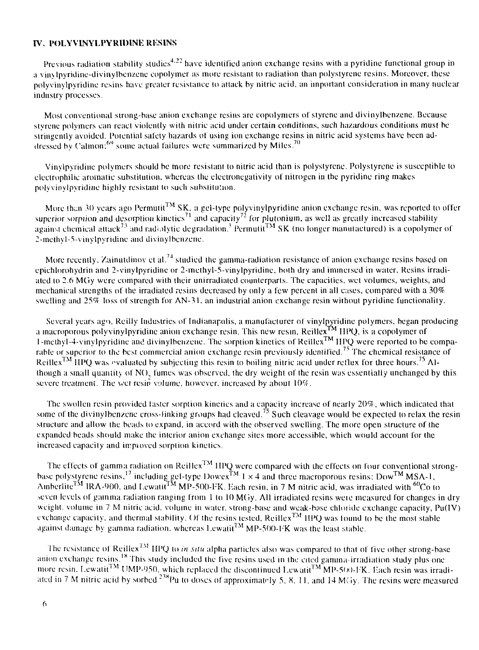#### **IV. POLYVINYLPYRIDINE RESINS**

Previous radiation stability studies<sup>4,22</sup> have identified anion exchange resins with a pyridine functional group in a vinvlpyridine-divinylbenzene copolymer as more resistant to radiation than polystyrene resins. Moreover, these polyvinylpyridine resins have greater resistance to attack by nitric acid, an important consideration in many nuclear industry processes.

Most conventional strong-base anion exchange resins are copolymers of styrcne and divinylbenzene. Because styrene polymers can react violently with nitric acid under certain conditions, such hazardous conditions must be stringently avoided. Potential safety hazards of using ion exchange resins in nitric acid systems have been addressed by Calmon;<sup>69</sup> some actual failures were summarized by Miles.<sup>70</sup>

Vinylpyridine polymers should be more resistant to nitric acid than is polystyrene. Polystyrene is susceptible to electrophilic aromatic substitution, whereas the electronegativity of nitrogen in the pyridine ring makes polyvinylpyridine highly resistant to such substitution.

More than 30 years ago Permutit<sup>TM</sup> SK, a gel-type polyvinylpyridine anion exchange resin, was reported to offer superior sorpiion and desorpliou kinetics against chemical attack<sup>73</sup> and radiolytic  $\epsilon$ 2-me thy 1-5-vinylpyridine and di vinyl benzene. gel-type polyvinylpyridine anion exchange resin, was reported to and capacity $^{I2}$  for plutonium, as well as greatly increased stability against chemical attack<sup>73</sup> and radiolytic degradation.<sup>3</sup> Permutit<sup>TM</sup> SK (no longer manutaetured) is a copolymer of

More recently, Zainutdinov et al.<sup>74</sup> studied the gamma-radiation resistance of anion exchange resins based on epichlorohydrin and 2-vinylpyridine or 2-methyl-5-vinylpyridine, both dry and immersed in water. Resins irradiated to 2.6 MGy were compared with their unirradiated counterparts. The capacities, wet volumes, weights, and mechanical strengths of the irradiated resins decreased by only a few percent in all cases, compared with a 30% swelling and 25% loss of strength for AN-31, an industrial anion exchange resin without pyridine functionality.

Several years ag<), Reilly Industries of Indianapolis, a manufacturer of vinylpyridine polymers, began producing a macroporous polyvinylpyridine anion exchange resin. This new resin, Reillex™ IIPQ, is a copolymcr of l-methyl-4-vinylpyridine and divinylbenzene. The sorption kinetics of Reillex™ IIPQ were reported to be comparable or superior to the best commercial anion exchange resin previously identified.<sup>75</sup> The chemical resistance of Reillex<sup>TM</sup> HPQ was evaluated by subjecting this resin to boiling nitric acid under reflux for three hours.<sup>75</sup> Although a small quantity of NO., fumes was observed, the dry weight of the resin was essentially unchanged by **this** severe treatment. The wet resin volume, however, increased by about  $10\%$ .

The swollen resin provided faster sorption kinetics and a capacity increase of nearly 20%, which indicated that some of the divinylbenzene cross-linking groups had cleaved.<sup>75</sup> Such cleavage would be expected to relax the resin structure and allow the beads to expand, in accord with the observed swelling. The more open structure of the expanded beads should make the interior anion exchange sites more accessible, which would account for the increased capacity and improved sorption kinetics.

The effects of gamma radiation on Reillex<sup>TM</sup> HPQ were compared with the effects on four conventional strongbase polystyrene resins,<sup>17</sup> including gel-type Dowex<sup>TM</sup> 1  $\times$  4 and three macroporous resins: Dow<sup>TM</sup> MSA-1, Amberiite<sup>TM</sup> IRA-900, and Lewatit™ MP-500-FK. Each resin, in 7 M nitric acid, was irradiated with <sup>60</sup>Co to seven levels of gamma radiation ranging from 1 to 10 MGy. All irradiated resins were measured for changes in dry weight, volume in 7 M nitric acid, volume in water, strong-base and weak-base chloride exchange capacity,  $Pu(IV)$ exchange capacity, and thermal stability. Of the resins tested, Reillex<sup>TM</sup> HPQ was found to be the most stable against damage by gamma radiation, whereas Lewatit $\rm ^{TM}$  MP-500-FK was the least stable.

The resistance of Reillex<sup>TM</sup> IIPQ to *in situ* alpha particles also was compared to that of five other strong-base anion exchange resins.<sup>18</sup> This study included the five resins used in the cited gamma-irradiation study plus one more resin, Lewatit<sup>TM</sup> UMP-950, which replaced the discontinued Lewatit<sup>TM</sup> MP-500-FK. Each resin was irradiated in 7 M nitric acid by sorbed <sup>258</sup>Pu to doses of approximately 5, 8, 11, and 14 MGy. The resins were measured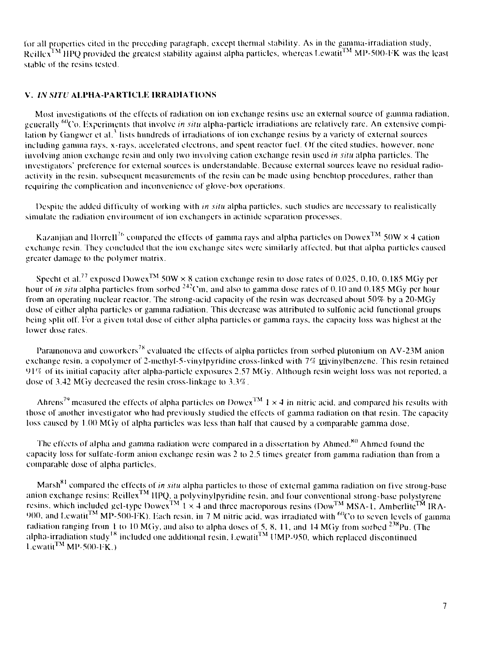lor all properties cited in the preceding paragraph, except thermal stability. As in the gamma-irradiation study, Reillex<sup>TM</sup> HPQ provided the greatest stability against alpha particles, whereas Lewatit<sup>1M</sup> MP-500-FK was the least stable of the resins tested.

# **V. IN SITU ALPHA-PARTICLE IRRADIATIONS**

Most investigations of the effects of radiation on ion exchange resins use an external source of gamma radiation, generally <sup>60</sup>Co. Experiments that involve *in situ* alpha-particle irradiations are relatively rare. An extensive compilation by Gangwer et al.<sup>3</sup> lists hundreds of irradiations of ion exchange resins by a variety of external sources including gamma rays, x-rays, accelerated electrons, and spent reactor fuel. Ol the cited studies, however, none involving union exchange resin and only two involving cation exchange resin used *in situ* alpha particles. The investigators" preference for external sources is understandable. Because external sources leave no residual radioactivity in the resin, subsequent measurements of the resin can be made using benchtop procedures, rather than requiring the complication and inconvenience of glove-box operations.

Despite the added difficulty of working with *m situ* alpha particles, such studies are necessary to realistically simulate the radiation environment of ion exchangers in actinide separation processes.

Kazanjian and Horrell<sup>76</sup> compared the effects of gamma rays and alpha particles on Dowex<sup>TM</sup> 50W  $\times$  4 cation exchange resin. They concluded that the ion exchange sites were similarly affected, but that alpha particles caused greater damage to the polymer matrix.

Specht et al.<sup>77</sup> exposed Dowex<sup>TM</sup> 50W  $\times$  8 cation exchange resin to dose rates of 0.025, 0.10, 0.185 MGy per hour of *in situ* alpha particles from sorbed <sup>242</sup>Cm, and also to gamma dose rates of 0.10 and 0.185 MGy per hour from an operating nuclear reactor. The strong-acid capacity of the resin was decreased about 50% by a 20-MGy dose of either alpha particles or gamma radiation. This decrease was attributed to sulfonic acid functional groups being split off. For a given total dose of either alpha particles or gamma rays, the capacity loss was highest at the lower dose rates.

Paramonova and coworkers<sup>78</sup> evaluated the effects of alpha particles from sorbed plutonium on AV-23M anion exchange resin, a copolymer of 2-methyl-5-vinyIpyridine cross-linked with *1'7<* irivinylbenzcne. This resin retained  $91\%$  of its initial capacity after alpha-particle exposures 2.57 MGy. Although resin weight loss was not reported, a dose of 3.42 MGy decreased the resin cross-linkage to 3.3%.

Ahrens<sup>79</sup> measured the effects of alpha particles on Dowex<sup>TM</sup> 1  $\times$  4 in nitric acid, and compared his results with those of another investigator who had previously studied the effects of gamma radiation on thai resin. The capacity loss caused by 1.00 MGy of alpha particles was less than half that caused by a comparable gamma dose.

The effects of alpha and gamma radiation were compared in a dissertation by Ahmed.<sup>80</sup> Ahmed found the capacity loss for sulfate-form union exchange resin was 2 to 2.5 times greater from gamma radiation than from a comparable dose of alpha particles.

Marsh<sup>81</sup> compared the effects of *in situ* alpha particles to those of external gamma radiation on five strong-base anion exchange resins: Reillex<sup>134</sup> HPQ, a polyvinylpyridine resin, and four conventional strong-base polystyrene resins, which included gel-type Dowex<sup>TM</sup> 1  $\times$  4 and three macroporous resins (Dow<sup>TM</sup> MSA-1, Amberlite<sup>TM</sup> IRA- $900$ , and Lewatit<sup>TM</sup> MP-500-FK). Each resin, in 7 M nitric acid, was irradiated with <sup>60</sup>Co to seven levels of gamma radiation ranging from 1 to 10 MGy, and also to alpha doses of 5, 8, 11, and 14 MGy from sorbed  $^{238}$ Pu. (The alpha-irradiation study<sup>18</sup> included one additional resin, Lewatit<sup>TM</sup> UMP-950, which replaced discontinued  $L$ ewatit<sup>TM</sup> MP-500-FK.)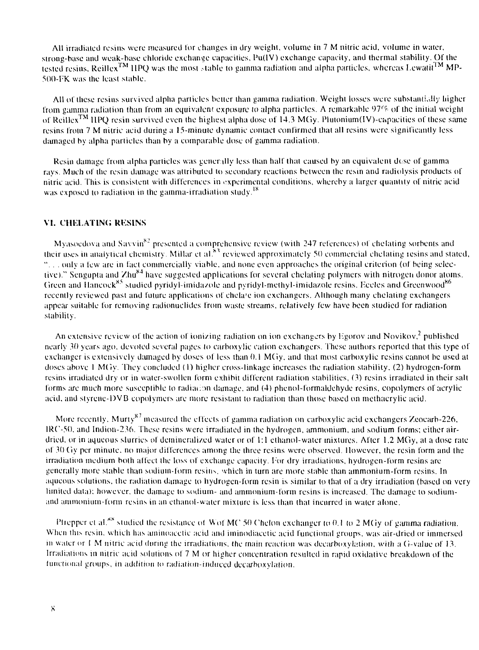All irradiated resins were measured lor changes in dry weight, volume in 7 M nitric acid, volume in water, strong-base and weak-base chloride exchange capacities, Pu(lV) exchange capacity, and thermal stability. Of the tested resins, Reillex<sup>TM</sup> HPQ was the most stable to gamma radiation and alpha particles, whereas Lewatit<sup>TM</sup> MP-500-FK was the least stable.

All of these resins survived alpha particles belter than gamma radiation. Weight losses were substantially higher from gamma radiation than from an equivalent exposure lo alpha particles. A remarkable 97'r of the initial weight of Reillex<sup>TM</sup> HPQ resin survived even the highest alpha dose of 14.3 MGy. Plutonium(IV)-capacities of these same resins from 7 M nitric acid during a 15-minute dynamic contact confirmed that all resins were significantly less damaged by alpha particles than by a comparable dose of gamma radiation.

Resin damage from alpha particles was generally less than half that caused by an equivalent dose of gamma rays. Much of the resin damage was attributed to secondary reactions between the resin and radiolysis products of nitric acid. This is consistent wilh differences in experimental conditions, whereby a larger quantity of nitric acid was exposed to radiation in the gamma-irradiation study.<sup>18</sup>

#### VI. CHELATING RESINS

Myasoedova and Savvin<sup>82</sup> presented a comprehensive review (with 247 references) of chefating sorbents and their uses in analytical chemistry. Millar et al.<sup>83</sup> reviewed approximately 50 commercial chelating resins and stated, "... only a few are in fact commercially viable, and none even approaches the original criterion (of being selective)." Sengupta and Zhu<sup>84</sup> have suggested applications for several chelating polymers with nitrogen donor atoms. Green and Hancock<sup>85</sup> studied pyridyl-imidazole and pyridyl-methyl-imidazole resins. Eccles and Greenwood<sup>86</sup> recently reviewed past and future applications of chela'e ion exchangers. Although many chelating exchangers appear suitable for removing radionuclides from waste streams, relatively few have been studied for radiation stability.

An extensive review of the action of ionizing radiation on ion exchangers by Egorov and Novikov,<sup>2</sup> published nearly 30 years ago. devoted several pages lo carboxylic cation exchangers. These authors reported thai this type of exchanger is extensively damaged by doses of less than 0.1 MCiy. and that most carboxylic resins cannot be used at doses above 1 MGy. They concluded (1) higher cross-linkage increases the radiation stability. (2) hydrogen-form resins irradiated dry or in water-swollen form exhibit different radiation stabilities, (3) resins irradiated in their salt forms are much more susceptible to radiation damage, and (4) phenol-formaldehyde resins, copolymers of acrylic acid, and styrcne-DVB copolymcrs are more resistant to radiation than those based on methacrylic acid.

More recently, Murty $^{87}$  measured the effects of gamma radiation on carboxylic acid exchangers Zeocarb-226, 1RC-50. and Indion-236. These resins were irradiated in the hydrogen, ammonium, and sodium forms; either airdried, or in aqueous slurries of demineralized water or of 1:1 ethanol-water mixtures. After 1.2 MGy, at a dose rate of 30 Gy per minute, no major differences among the three resins were observed. However, the resin form and the irradiation medium both affect the loss of exchange capacity. For dry irradiations, hydrogen-form resins are generally more stable than sodium-form resins, which in turn are more stable than ammonium-form resins. In aqueous solutions, the radiation damage to hydrogen-form resin is similar to thai of a dry irradiation (based on very limited data); however, the damage to sodium- and ammonium-form resins is increased. The damage to sodiumand aminoniuin-form resins in an ethanol-waler mixture is less than that incurred in water alone.

Pfrepper et al.<sup>\*\*</sup> studied the resistance of Wof MC 50 Chelon exchanger to 0.1 to 2 MGy of gamma radiation. When this resin, which has aminoacctic acid and iminodiacetic acid functional groups, was air-dried or immersed in water or  $1$  M nitric acid during the irradiations, the main reaction was decarboxylation, with a G-value of 13. Irradiations in nitric acid solutions of 7 M or higher concentration resulted in rapid oxidalive breakdown of the functional groups, in addition to radiation-induced decarboxylation.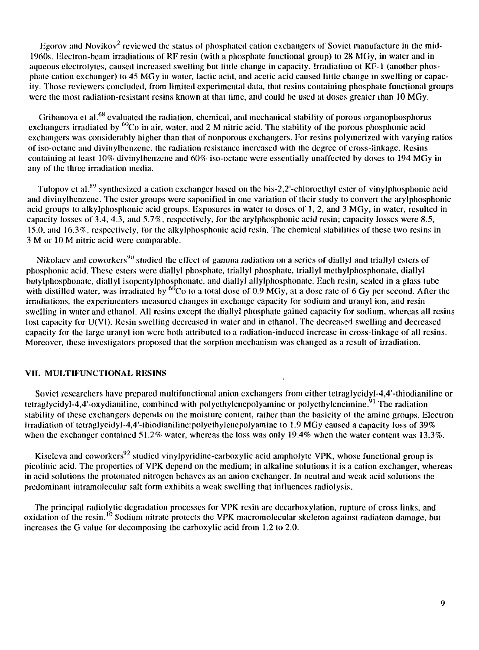Egorov and Novikov<sup>2</sup> reviewed the status of phosphated cation exchangers of Soviet manufacture in the mid-1960s. Electron-beam irradiations of RF resin (with a phosphate functional group) lo 28 MGy, in water and in aqueous electrolytes, caused increased swelling but little change in capacity. Irradiation of KF-1 (another phosphate cation exchanger) (o 45 MGy in water, lactic acid, and acetic acid caused little change in swelling or capacity. Those reviewers concluded, from limited experimental data, that resins containing phosphate functional groups were the most radiation-resistant resins known at that time, and could be used at doses greater than 10 MGy.

Gribanova et al.<sup>68</sup> evaluated the radiation, chemical, and mechanical stability of porous organophosphorus exchangers irradiated by <sup>60</sup>Co in air, water, and 2 M nitric acid. The stability of the porous phosphonic acid exchangers was considerably higher than that of nonporous exchangers. For resins polymerized with varying ratios of iso-octane and divinylbenzenc, the radiation resistance increased with the degree of cross-linkage. Resins containing at least 10% divinylbenzene and 60% iso-octane were essentially unaffected by doses lo 194 MGy in any of the three irradiation media.

Tulopov et al.<sup>89</sup> synthesized a cation exchanger based on the bis-2,2'-chloroethyl ester of vinylphosphonic acid and divinylbenzene. The ester groups were saponified in one variation of their study lo convert the arylphosphonic acid groups to alkylphosphonic acid groups. Exposures in water to doses of 1, 2, and 3 MGy, in water, resulted in capacity losses of 3.4, 4.3, and 5.7%, respectively, for the arylphosphonic acid resin; capacity losses were 8.5, 15.0, and 16.3%, respectively, for the alkylphosphonic acid resin. The chemical stabilities of these two resins in 3 M or 10 M nitric acid were comparable.

Nikolaev and coworkers<sup>90</sup> studied the effect of gamma radiation on a series of diallyl and triallyl esters of phosphonic acid. These esters were diallyl phosphate, triallyl phosphate, triallyl methylphosphonale, diallyl bulylphosphonate, diallyl isopentylphosphonate, and diallyl allylphosphonate. Each resin, scaled in a glass tube with distilled water, was irradiated by  $^{60}$ Co to a total dose of 0.9 MGy, at a dose rate of 6 Gy per second. After the irradiations, the experimenters measured changes in exchange capacity for sodium and uranyl ion, and resin swelling in water and ethanol. All resins except the diallyl phosphate gained capacity for sodium, whereas all resins lost capacity for U(VI). Resin swelling decreased in water and in ethanol. The decreased swelling and decreased capacity for the large uranyl ion were both attributed lo a radiation-induced increase in cross-linkage of all resins. Moreover, these investigators proposed that the sorption mechanism was changed as a result of irradiation.

# **VII. MULTIFUNCTIONAL RESINS**

Soviet researchers have prepared multifunctional anion exchangers from either tetraglycidyl-4,4'-thiodianiline or tetraglycidyl-4,4'-oxydianiline, combined with polyethylenepolyamine or polyethyleneimine.<sup>91</sup> The radiation stability of these exchangers depends on the moisture content, rather than the basicity of the aminc groups. Electron irradiation of tetraglycidyl-4,4'-thiodianiline:polyethylenepolyamine to 1.9 MGy caused a capacity loss of 39% when the exchanger contained 51.2% water, whereas the loss was only 19.4% when the water content was 13.3%.

Kiseleva and coworkers<sup>92</sup> studied vinylpyridine-carboxylic acid ampholyte VPK, whose functional group is picolinic acid. The properties of VPK depend on the medium; in alkaline solutions it is a cation exchanger, whereas in acid solutions the protonatcd nitrogen behaves as an anion exchanger. In neutral and weak acid solutions the predominant intramolecular salt form exhibits a weak swelling that influences radiolysis.

The principal radiolytic degradation processes for VPK resin arc decarboxylation, rupture of cross links, and oxidation of the resin.<sup>10</sup> Sodium nitrate protects the VPK macromolecular skeleton against radiation damage, but increases the G value for decomposing the carboxylic acid from 1.2 to 2.0.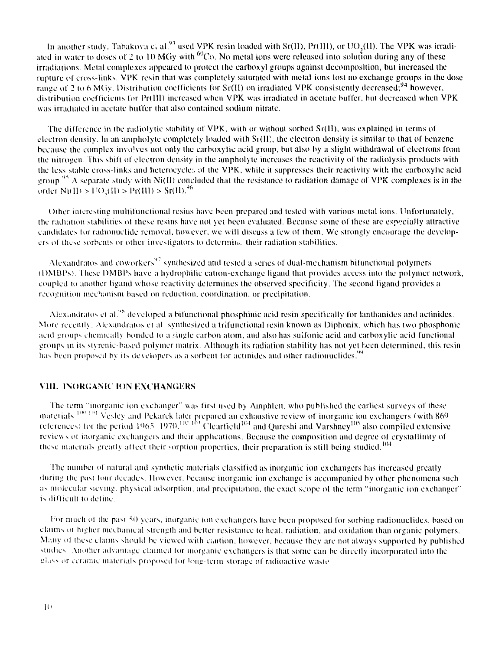In another study, Tabakova c, al. $^{93}$  used VPK resin loaded with Sr(II), Pr(III), or UO,(II). The VPK was irradiated in water to doses of 2 to 10 MGy with  $^{60}$ Co. No metal ions were released into solution during any of these irradiations. Metal complexes appeared to protect the carboxyl groups against decomposition, but increased the rupture of cross-links. VPK resin that was completely saturated with metal ions lost no exchange groups in the dose range of 2 to 6 MGy. Distribution coefficients for  $Sr(II)$  on irradiated VPK consistently decreased;<sup>94</sup> however, distribution coefficients for Pr(IlI) increased when VPK was irradiated in acetate buffer, but decreased when VPK was irradiated in acetate buffer that also contained sodium nitrate.

The difference in the radiolytic stability of VPK, with or without sorbed Sr(II), was explained in terms of electron density. In an ampholyte completely loaded with  $Sr(II)$ , the electron density is similar to that of benzene because the complex involves not only the carboxylic acid group, but also by a slight withdrawal of electrons from the nitrogen. This shift of electron density in the ampholyte increases the reactivity of the radiolysis products with the less stable cross-links and heterocycles of the VPK, while it suppresses their reactivity with the carboxylic acid group.<sup>95</sup> A separate study with Ni(II) concluded that the resistance to radiation damage of VPK complexes is in the order Ni(II) >  $1^{10}$ ,(II) > Pr(III) > Sr(II).<sup>96</sup>

Other interesting multifunctional resins have been prepared and tested with various metal ions. Unfortunately, the radiation stabilities ot these resins have not yet been evaluated. Because some ol these are especially attractive candidates lor radionuclide removal, however, we will discuss a few of them. We strongly encourage the developers of these sorbents or other investigators to determine their radiation stabilities.

Alexandratos and coworkers<sup>97</sup> synthesized and tested a series of dual-mechanism bifunctional polymers (l)MDPs). These DMDPs have a hydrophilic cation-exchange ligund that provides access into the polymer network, coupled to another ligand whose reactivity determines the observed specificity. The second ligand provides a recognition mechanism based on reduction, coordination, or precipitation.

Alexandratos et al.<sup>38</sup> developed a bifunctional phosphinic acid resin specifically for lanthanides and actinides. More recenih. Alexandratus el al synthesized a trifunctional resin known as Diphonix, which has two phosphonie acid groups chemically bonded to a single carbon atom, and also has suifonic acid and carboxylic acid functional groups in its styrenic-based polymer matrix. Although ils radiation stability has not yet heen determined, this resin has been proposed by its developers as a sorbent for actinides and other radionuclides.<sup>99</sup>

### VIII. INORGANIC ION EXCHANGERS

The term "inorganic ion exchanger" was first used by Amphlelt. who published the earliest surveys of these materials <sup>100-101</sup> Vesley and Pekarek later prepared an exhaustive review of inorganic ion exchangers (with 869 references) for the period  $1965 - 1970$ .<sup>102</sup>.103 Clearfield<sup>164</sup> and Qureshi and Varshney<sup>105</sup> also compiled extensive reviews ol inorganic exchangers and their applications. Because the composition and degree ol crystallinily of these materials greatly affect their sorption properties, their preparation is still being studied.<sup>104</sup>

!'he number of natural and synthetic materials classified as inorganic ion exchangers has increased greatly during the past four decades. However, because inorganic ion exchange is accompanied by other phenomena such as molecular sieving, physical adsorption, and precipitation, the exact scope of the term "inorganic ion exchanger" is difficult to del inc.

For much of the past 50 years, inorganic ion exchangers have been proposed for sorbing radionuclides, based on claims oi higher mechanical strength and heller resistance to heat, radiation, and oxidation than organic polymers. Many of these claims should be viewed with caution, however, because they are not always supported by published studies. Another advantage claimed for inorganic exchangers is that some can be directly incorporated into the class or ceramic materials proposed lor long-term storage *{ii* radioactive waste.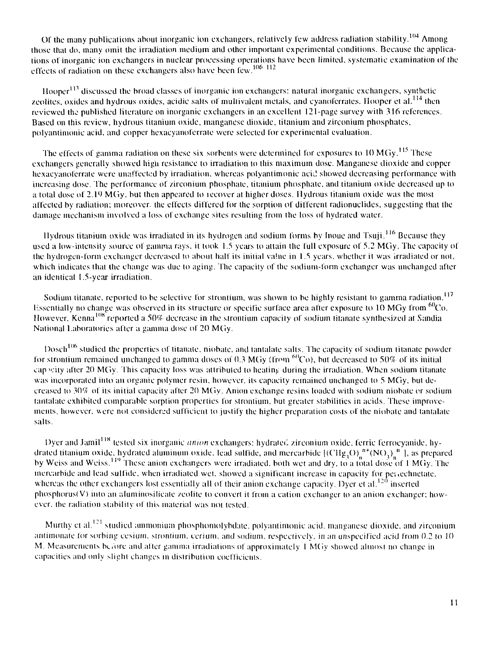Of the many publications about inorganic ion exchangers, relatively few address radiation stability.<sup>104</sup> Among those that do, many omit the irradiation medium and other important experimental conditions. Because the applications of inorganic ion exchangers in nuclear processing operations have been limited, systematic examination of the effects of radiation on these exchangers also have been few.  $^{106-112}$ 

Hooper<sup>113</sup> discussed the broad classes of inorganic ion exchangers: natural inorganic exchangers, synthetic zeolites, oxides and hydrous oxides, acidic salts of multivalent metals, and cyanoferrates. Hooper et al.<sup>114</sup> then reviewed the published literature on inorganic exchangers in an excellent 121-page survey with 316 references. Based on this review, hydrous titanium oxide, manganese dioxide, titanium and zirconium phosphates, polyantimonic acid, and copper hexacyanoferrate were selected lor experimental evaluation.

The effects of gamma radiation on these six-sorbents were determined for exposures to  $10 \,\mathrm{MGy}^{115}$  These exchangers generally showed high resistance to irradiation to this maximum dose. Manganese dioxide and copper hexacyanoferrale were unaffected by irradiation, whereas polyantimonic acid showed decreasing performance with increasing dose. The performance of zirconium phosphate, titanium phosphate, and titanium oxide decreased up to a total dose of 2.19 MGy, but then appeared to recover at higher doses. Hydrous titanium oxide was the most affected by radiation; moreover, the effects differed for the sorption of different radionuclides, suggesting lhat the damage mechanism involved a loss ol exchange sites resulting from the loss ol hydrated water.

Hydrous titanium oxide was irradiated in its hydrogen and sodium forms by Inoue and Tsuji.<sup>116</sup> Because they used a low-intensity source of gamma rays, it took 1.5 years to attain the full exposure of 5.2 MGy. The capacity of the hydrogen-form exchanger decreased to about half its initial value in 1.5 years, whether it was irradiated or not, which indicates that the change was due to aging. The capacity of the sodium-form exchanger was unchanged after an identical 1.5-year irradiation.

Sodium titanate, reported to be selective for strontium, was shown to be highly resistant to gamma radiation.<sup>117</sup> Essentially no change was observed in its structure or specific surface area after exposure to  $10$  MGy from  $^{60}$ Co. However, Kenna<sup>108</sup> reported a 50% decrease in the strontium capacity of sodium titanate synthesized at Sandia National Laboratories after a gamma dose of 20 MGy.

Dosch<sup>106</sup> studied the properties of titanate, niobate, and tantalate salts. The capacity of sodium titanate powder for strontium remained unchanged to gamma doses of 0.3 MGy (from  $^{60}Co$ ), but decreased to 50% of its initial cap scity after 20 MGy. This capacity loss was attributed to heating during the irradiation. When sodium titanate was incorporated into an organic polymer resin, however, its capacity remained unchanged to 5 MGy, bul decreased lo 309! of its initial capacity after 20 MCiy. Anion exchange resins loaded with sodium niobate or sodium lantalate exhibited comparable sorption properties for strontium, but greater stabilities in acids. These improvements, however, were not considered sufficient to justify the higher preparation costs of the niobate and lanlalale salts.

Dyer and Jamil<sup>118</sup> tested six inorganic *anion* exchangers: hydrated zirconium oxide, ferric ferrocyanide, hydrated titanium oxide, hydrated aluminum oxide, lead sulfide, and mercarbide  $\left[\frac{(CHg_3O)_n^{n+}(NO_3)_n^{n-}}{N}\right]$ , as prepared by Weiss and Weiss.<sup>119</sup> These anion exchangers were irradiated, both wet and dry, to a total dose of 1 MGy. The mercarbide and lead sulfide, when irradiated wet, showed a significant increase in capacity for perfectmetate, whereas the other exchangers lost essentially all of their anion exchange capacity. Dyer et al. $120$  inserted phosphorus(V) into an aluminosilicate zeolite to convert it from a cation exchanger to an anion exchanger; however, the radiation stability of this material was not tested.

Murthy et al.<sup>121</sup> studied ammonium phosphomolybdate, polyantimonic acid, manganese dioxide, and zirconium antimonate for sorbing cesium, strontium, cerium, and sodium, respectively, in an unspecified acid from 0.2 to 10 M. Measurements before and after gamma irradiations of approximately 1 M(iy showed almost no change in capacities and only slight changes in distribution coefficients.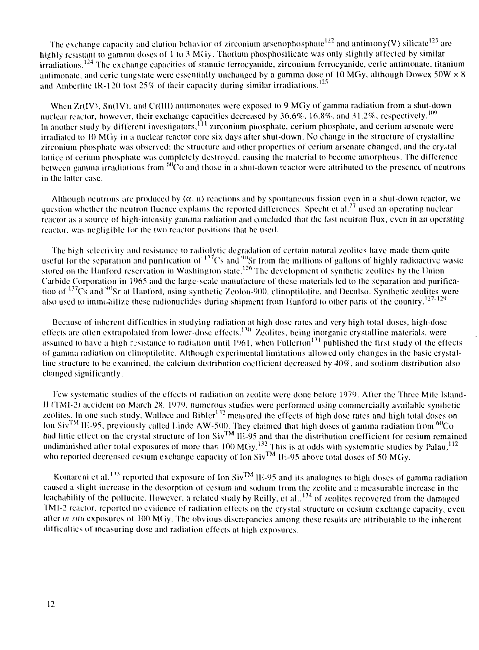The exchange capacity and elution behavior of zirconium arsenophosphate<sup>122</sup> and antimony(V) silicate<sup>123</sup> are highly resistant to gamma doses of 1 to 3 MGy. Thorium phosphosilicate was only slightly affected by similar irradiations.<sup>124</sup> The exchange capacities of stannic ferrocyanide, zirconium ferrocyanide, ceric antimonate, titanium antimonate, and cerie tungstate were essentially unchanged by a gamma dose of 10 MGy, although Dowex 50W  $\times$  8 and Amberlite IR-120 lost 25% of their capacity during similar irradiations.<sup>125</sup>

When  $Zr(IV)$ ,  $Sn(IV)$ , and  $Cr(III)$  antimonates were exposed to 9 MGy of gamma radiation from a shut-down nuclear reactor, however, their exchange capacities decreased by  $36.6\%$ ,  $16.8\%$ , and  $31.2\%$ , respectively.<sup>109</sup> In another study by different investigators, <sup>111</sup> zirconium phosphate, cerium phosphate, and cerium arsenate were irradiated to 10 MGy in a nuclear reactor core six days after shut-down. No change in the structure of crystalline zirconium phosphate was observed; the structure and other properties oi" cerium arscnatc changed, and the crystal lattice of cerium phosphate was completely destroyed, causing the material to become amorphous. The difference between gamma irradiations from  $60\text{C}$  and those in a shut-down reactor were attributed to the presence of neutrons in the latter case.

Although neutrons are produced by  $(\alpha, n)$  reactions and by spontaneous fission even in a shut-down reactor, we question whether the neutron fluence explains the reported differences. Specht et al.<sup>77</sup> used an operating nuclear reactor as a source of high-intensity gamma radiation and concluded that the fast neutron flux, even in an operating reactor, was negligible for the two reactor positions that he used.

The high selectivity and resistance to radiolytic degradation of certain natural zeolites have made them quite useful for the separation and purification of  $137Cs$  and  $90Sr$  from the millions of gallons of highly radioactive wasie stored on the Hanford reservation in Washington state.<sup>126</sup> The development of synthetic zeolites by the Union Carbide Corporation in 1965 and the large-scale manufacture of these materials led to the separation and purification of <sup>137</sup>Cs and <sup>90</sup>Sr at Hanford, using synthetic Zeolon-900, clinoptilolite, and Decalso. Synthetic zeolites were also used to immobilize these radionuclides during shipment from Hanford to other parts of the country.<sup>127-129</sup>

Because of inherent difficulties in studying radiation at high dose rates and very high total doses, high-dose effects are often extrapolated from lower-dose effects.<sup>130</sup> Zeolites, being inorganic crystalline materials, were assumed to have a high resistance to radiation until 1961, when Fullerton<sup>131</sup> published the first study of the effects of gamma radiation on dinoptilolite. Although experimental limitations allowed only changes in the basic crystalline structure to be examined, the calcium distribution coefficient decreased by  $40\%$ , and sodium distribution also changed significantly.

Few systematic studies of the effects ol radiation on zeolite were done before 1979. Alter the Three Mile Island-11 (TMI-2) accident on March 2S, 1979, numerous studies were performed using commercially available synthetic zeolites. In one such study, Wallace and Bibler<sup>132</sup> measured the effects of high dose rates and high total doses on lon Siv<sup>TM</sup> IE-95, previously called Linde AW-500. They claimed that high doses of gamma radiation from <sup>60</sup>Co had littie effect on the crystal structure of Ion  $\rm Siv^{TM}$  IE-95 and that the distribution coefficient for cesium remained undiminished after total exposures of more than  $100$  MGy.<sup>132</sup> This is at odds with systematic studies by Palau,<sup>112</sup> who reported decreased cesium exchange capacity of Ion Siv<sup>TM</sup> IE-95 above total doses of 50 MGy.

Komareni et al. $^{133}$  reported that exposure of Ion Siv $^{\rm TM}$  HE-95 and its analogues to high doses of gamma radiation caused a slight increase in the desorption of cesium and sodium from the zeolite and *i:* measurable increase in the leachability of the pollucite. However, a related study by Reilly, et al.,<sup>134</sup> of zeolites recovered from the damaged 1MI-2 reactor, reported no evidence of radiation effects on the crystal structure or cesium exchange capacity, even alter *in situ* exposures of 100 MGy. The obvious discrepancies among these results are attributable to the inherent difficulties of measuring dose and radiation effects at high exposures.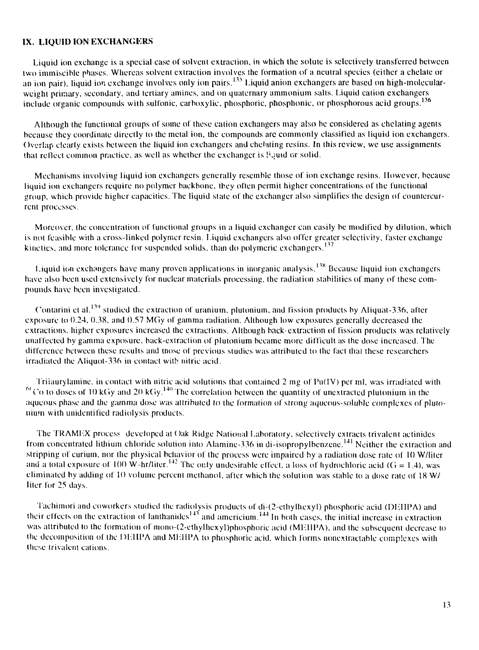# **IX. LIQUID ION EXCHANGERS**

Liquid ion exchange is a special case ot solvent extraction, in which the solute is selectively transferred between two immiscible phases. Whereas solvent extraction involves the formation of a neutral species (either a chelate or an ion pair), liquid ion exchange involves only ion pairs.<sup>135</sup> Liquid anion exchangers are based on high-molecularweight primary, secondary, and tertiary amines, and on quaternary ammonium salts. Liquid cation exchangers include organic compounds with sulfonic, carboxylic, phosphoric, phosphonic, or phosphorous acid groups.<sup>136</sup>

Although the functional groups of some of these cation exchangers may also be considered as chelating agents because they coordinate directly to the metal ion, the compounds are commonly classified as liquid ion exchangers. Overlap clearly exists between the liquid ion exchangers and chelating resins. In this review, we use assignments that reflect common practice, as well as whether the exchanger is ILjuid or solid.

Mechanisms involving liquid ion exchangers generally resemble those of ion exchange resins. However, because liquid ion exchangers require no polymer backbone, they often permit higher concentrations of the functional group, which provide higher capacities. The liquid stale of the exchanger also simplifies the design of countercurrent processes.

Moreover, the concentration of functional groups in a liquid exchanger can easily be modified by dilution, which is not feasible with a cross-linked polymer resin. Liquid exchangers also offer greater selectivity, faster exchange kinetics, and more tolerance for suspended solids, than do polymeric exchangers.<sup>137</sup>

Liquid ion exchangers have many proven applications in inorganic analysis.<sup>138</sup> Because liquid ion exchangers have also been used extensively for nuclear materials processing, the radiation stabilities of many of these compounds have been investigated.

Contarini et al.<sup>139</sup> studied the extraction of uranium, plutonium, and fission products by Aliquat-336, after exposure to 0.24, 0.38. and 0.57 MGy of gamma radiation. Although low exposures generally decreased the extractions, higher exposures increased the extractions. Although back-extraction of fission products was relatively unaffected by gamma exposure, back-extraction of plutonium became more difficult as the dose increased. The difference between these results and tnose of previous studies was attributed to the fact thai these researchers irradiated the Aliquot-336 in contact with nitric acid.

Triiaurylamine, in contact with nitric acid solutions that contained 2 mg of Pu(IV) per ml, was irradiated with  $^{64}$ Co to doses of 10 kGy and 20 kGy.<sup>140</sup> The correlation between the quantity of unextracted plutonium in the aqueous phase and the gamma dose was attributed to the formation of strong aqueous-soluble complexes of plutonium with unidentified radiolysis products.

The TRAMEX process developed at Oak Ridge National Laboratory, selectively extracts trivalent actinides from concentrated lithium chloride solution into Alamine-336 in di-isopropylbenzene.<sup>141</sup> Neither the extraction and stripping of curium, nor the physical behavior of the process were impaired by a radiation dose rate of 10 W/liter and a total exposure of 100 W-hr/liter.<sup>142</sup> The only undesirable effect, a loss of hydrochloric acid (G = 1.4), was eliminated by adding of 10 volume percent rnethanol, after which the solution was stable to a dose rate of 18 W/ liter for 25 days.

Tachimori and coworkers studied the radiolysis products of di-(2-ethylhexyl) phosphoric acid (DHIIPA) and their effects on the extraction of lanthanides $^{143}$  and americium.<sup>144</sup> In both cases, the initial increase in extraction was attributed to the formation of mono-(2-ethylhexyl)phosphoric acid (MEIIPA), and the subsequent decrease to the decomposition of the DLIII'A and MLIil'A to phosphoric acid, which forms nonextractable complexes with these trivalent cations.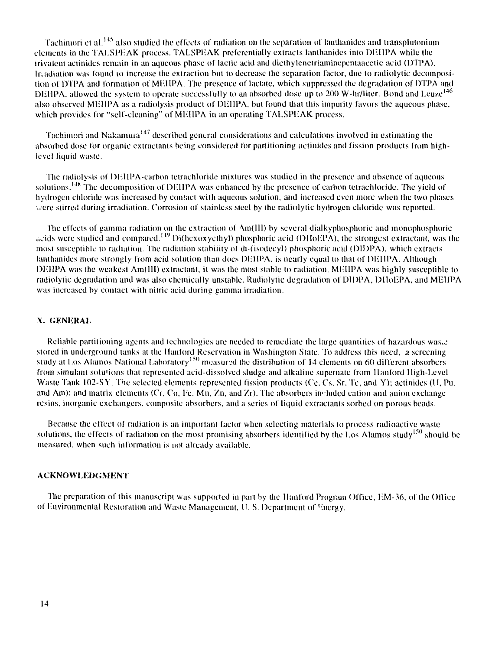Tachimori et al.<sup>145</sup> also studied the effects of radiation on the separation of lanthanides and transplutonium elements in the TALSPEAK process. TALSPEAK preferentially extracts lanthanides into DEHPA while the irivalent actinides remain in an aqueous phase of lactic acid and dieihylenetriaminepeniaacetic acid (DTPA). Ir.adiation was found to increase the extraction hut to decrease the separation factor, due to radiolytic decomposition of DTPA and formation of MEHPA. The presence of lactate, which suppressed the degradation of DTPA and DEHPA, allowed the system to operate successfully to an absorbed dose up to 200 W-hr/liter. Bond and Leuze<sup>146</sup> also observed MEHPA as a radiolysis product of DEHPA, but found that this impurity favors the aqueous phase, which provides for "self-cleaning" of MEHPA in an operating TALSPEAK process.

Tachimori and Nakamura<sup>147</sup> described general considerations and calculations involved in estimating the absorbed dose for organic extractants being considered for partitioning actinides and fission products from highlevel liquid waste.

The radiolysis of DEHPA-carbon tetrachloride mixtures was studied in the presence and absence of aqueous solutions.<sup>148</sup> The decomposition of DEHPA was enhanced by the presence of carbon tetrachloride. The yield of hydrogen chloride was increased by contact with aqueous solution, and increased even more when Ihe two phases ..ere stirred during irradiation. Corrosion of stainless sieel by the radiolytie hydrogen chloride was reported.

The effects of gamma radiation on the extraction of Am(III) by several dialkyphosphoric and monophosphoric acids were studied and compared.<sup>149</sup> Di(hexoxyethyl) phosphoric acid (DHoEPA), the strongest extractant, was the most susceptible to radiaiion. The radiation stability of di-(isodecyl) phosphoric acid (DIDPA), which extracts lanthanides more strongly from acid solution than does DEHPA, is nearly equal to that of DEHPA. Although DEHPA was the weakest Am(III) extractant, it was the most stable to radiation. MEHPA was highly susceptible to radiolytic degradation and was also chemically unstable. Radiolytic degradation of DIDPA, DHoEPA, and MEHPA was increased by contact with nitric acid during gamma irradiation.

#### **X. GENERAL**

Reliable partitioning agents and technologies are needed to remediate the large quantities of hazardous was, a stored in underground tanks at the Hanford Reservation in Washington State. To address this need, a screening study at Los Alamos National Laboratory<sup>150</sup> measured the distribution of 14 elements on 60 different absorbers from simulant solu'ions (hat represented acid-dissolved sludge and alkaline supernate from llanford High-Level Waste Tank 102-SY. The selected elements represented fission products (Ce, Cs, Sr, Tc, and Y); actinides (U, Pu, and Am); and matrix elements (Cr, Co, l'e. Mn, Zn, and *'AT).* The absorbers included cation and anion exchange resins, inorganic exchangers, composite absorbers, and a series of liquid extractants sorbed on porous beads.

Because the effect of radiaiion is an important factor when selecting materials to process radioactive waste solutions, the effects of radiation on the most promising absorbers identified by the Los Alamos study<sup>150</sup> should be measured, when such information is not already available.

#### **ACKNOWLEDGMENT**

The preparation of this manuscript was supported in part by the Hanford Program Office, EM-36, of the Office of Environmental Restoration and Waste Management, U.S. Department of <sup>th</sup>nergy.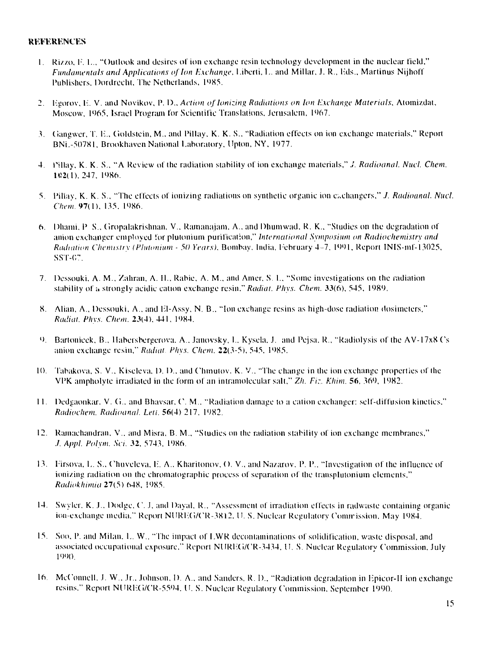## **REFERENCES**

- **1.** Rizzo. 1". 1.., "Outlook and desires of ion exchange resin technology development in the nuclear field," *Fundamentals and Applications of Ion Exchange*, Liberti, L. and Millar, J. R., Eds., Martinus Nijhoff Publishers, Dordrecht, The Netherlands, 1985.
- 2. Fgorov. F. V. and Novikov, P. D.. *Action of Ionizing Radiations on Ion lixchange Materials,* Atomizdal, Moscow, 1965, Israel Program for Scientific Translations, Jerusalem, 1967.
- 3. (iangwer. T. F., Cioklstein, M., and Pillay. K. K. S.. "Radiation effects on ion exchange materials," Report BNL-50781, Brookhaven National Laboratory, Upton, NY, 1977.
- 4. Pillay. K. K. S.. "A Review of the radiation stability of ion exchange materials," ./. *Radioanal. Nucl. Chem.* 1«2(1), 247, 1986.
- 5. Pillay, K. K. S., "The effects of ionizing radiations on synthetic organic ion exchangers," ./. *Radioanal. Nucl. Chem* 97(1). 135. 1986.
- 6. Dhumi. P S., (iropalakrishnan, V.. Rainanajam. A., and Dhumwad, R. K., "Studies on the degradation of anion exchanger employed for pluloniurn purification," *International Symposium on Radioclwmistry and Radiation Chemistry (Plutonium* - *50 Years),* Bombay, India, February 4-7, 1991, Report INIS-mf-13025, ss<sub>T</sub>- $67.$
- 7. Dessouki. A. M., Zahran, A. II., Rabie, A. M., and Amer, S I.. "Some investigations on the radiation stability of a strongly acidic cation exchange resin." *Radiat. Phys. Chem.* 33(6), 545, 1989.
- S. Alian, A., Dessouki, A., and FI-Assy, N. B.. "Ion exchange resins as high-dose radiation dosimeters," *Radial. Pins. Chcm.* **23(4),** 441, 1984.
- 9. Bartonicek, B., Habersbergerova. A., Janovsky, I., Kysela, J. and Pejsa, R., "Radiolysis of the AV-17x8 Cs anion exchange resin," *Radial Pliys. Client.* 22(3-5), 545. 1985.
- 10. Tabakova, S. V., Kiseleva, 1). 1).. and Chmutov. K. V.. "The change in the ion exchange properties of Ihe VPK ampholyte irradiated in the form of an intramolecular salt," *Zh. Fir.. Khim.* 56, 369, 1982.
- 11. Dedgaonkar. V. (1., and Bhavsar, *V.* M.. "Radiation damage to a cation exchanger: self-diffusion kinetics." *Radioclwm. Radioanal. Leii.* 56(4) 217. 1982.
- 12. Rainachandran, V.. and Misra, B. M., "Studies on the radiation stability of ion exchange membranes," ./. *Appl. Polvm. Sci.* 32, 5743, 1986.
- 13. Iirsova, I.. S.. Chuveleva, F. A.. Kharitonov, (). V., and Nazarov. P. P., "Investigation of the influence of ionizing radiation on the chromatographic process of separation of the transplutonium elements," *Radiokhimia* 27(5) 648, !985.
- 14. Swyler, K. J., Dodge, C. J., and Dayal, R., "Assessment of irradiation effects in radwaste containing organic ion-exchange media." Report NURF(i/('R-38 12. II. S. Nuclear Regulatory Comirission. May 1984.
- 15. Soo, P. and Milan. I.. W., "The impact of I.WR decontaminations of solidification, waste disposal, and associated occupational exposure," Report NURF(i/CR-3434, II. S. Nuclear Regulatory Commission, July 1990.
- 16 McConnell, I. W., Jr.. Johnson, I). A., and Sanders, R. I)., "Radiation degradation in Hpicor-II ion exchange resins." Report NURFG/CR-5594. 11. S. Nuclear Regulatory Commission, September 1990.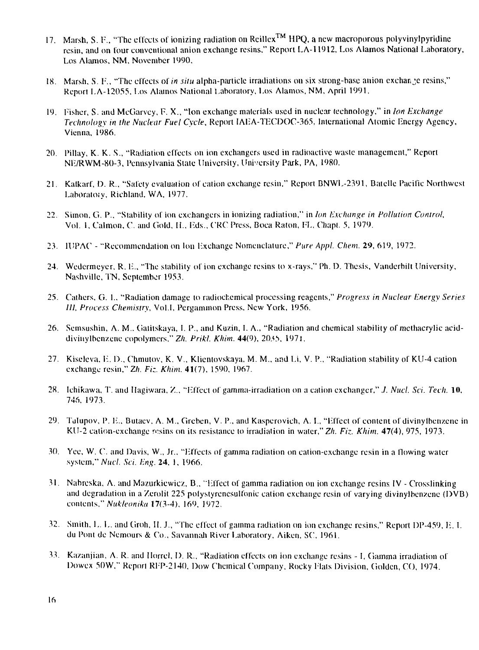- 17. Marsh, S. P., "The effects of ionizing radiation on Rcillex™ HPQ, a new macroporous polyvinylpyridine resin, and on four conventional anion exchange resins," Report LA-11912, Los Alamos National Laboratory, Los Alamos, NM, November 1990.
- 18. Marsh, S. F., "The effects of *in situ* alpha-particle irradiations on six strong-base anion exchange resins," Report LA-12055. Los Alamos National Laboratory, Los Alamos, NM, April 1991.
- 19. Fisher, S. and McGarvey, F. X., "Ion exchange materials used in nuclear technology," in *Ion Exchange Technology in the Nuclear Fuel Cycle,* Report IAEA-TFCDOC-365, International Atomic Energy Agency, Vienna, 1986.
- 20. l'illay, K. K. S., "Radiation effects on ion exchangers used in radioactive waste management," Report NE/RWM-80-3, Pennsylvania State University, University Park, PA, 1980.
- 21. Kalkarl, D. R., "Safety evaluation of cation exchange resin," Report BNWL-2391, Batelle Pacific Northwest Laboratoiy, Richland, WA, 1977.
- 22. Simon, G. P., "Stability of ion exchangers in ionizing radiation," in *Ian Exchange in Pollution Control,* Vol. 1, Calmon, C. and Gold, II., Eds., C'RC Press, Boca Raton, FL, Chapl. 5, 1979.
- 23. IUPAC "Rccommendalion on Ion Exchange Nomenclature," *Pure Appl. Chem.* 29, 619, 1972.
- 24. Wedermeyer, R. E., "The stability of ion exchange resins to x-rays," Ph. D. Thesis, Vanderbilt University, Nashville, TN, September 1953.
- 25. Gathers, G. I.. "Radiation damage to radiochemical processing reagents," *Progress in Nuclear Energy Series III, Process Chemistry,* Vol.I, Pergammon Press. New York, 1956.
- 26. Semsushin, A. M.. Gaiitskaya, I. P., and Kuzin, I. A., "Radiation and chemical stability of methacrylic aciddivinylbenzene copolymers." Zh. Prikl. Khim. 44(9), 2035, 1971.
- 27. Kiseleva, E. D., Chmutov, K. V., Klientovskaya, M. M., and Li, V. P., "Radiation stability of KU-4 cation exchange resin," *Zh. Fiz. Khim.* 41(7). 1590, 1967.
- 28. Ichikawa, T. and Hagiwara, Z., "Effect of gamma-irradiation on a cation exchanger," J. Nucl. Sci. Tech. 10, 746, 1973.
- 29. Tulupov, P. li., Butaev. A. M., Greben, V. P., and Kasperovich, A. I., "Effect of content of divinylbenzene in KU-2 cation-exchange resins on its resistance to irradiation in water," Zh. Fiz. Khim. 47(4), 975, 1973.
- 30. Yee, W. C. and Davis, W., Jr., "Effecls of gamma radiation on cation-exchange resin in a flowing water system," Nucl. Sci. Eng. 24, 1, 1966.
- 31. Nabreska, A. and Mazurkiewicz, B., "Effect of gamma radiation on ion exchange resins IV Crosslinking and degradation in a Zerolit 225 polystyrenesulfonic cation exchange resin of varying divinylbenzene (DVB) contents," *Nukleonika* 17(3-4), 169, 1972.
- 32. Smith, L. L. and Groh, II. J., "The effect of gamma radiation on ion exchange resins," Report DP-459, E. I. du Pont de Nemours & Co., Savannah River Laboratory, Aiken, SC, 1961.
- 33. Kazanjian, A. R. and Horrcl, 1). R., "Radiation effects on ion exchange resins I, Gamma irradiation of Dowex 50W," Repori REP-2140, Dow Chemical Company, Rocky Flats Division, Golden, CO, 1974.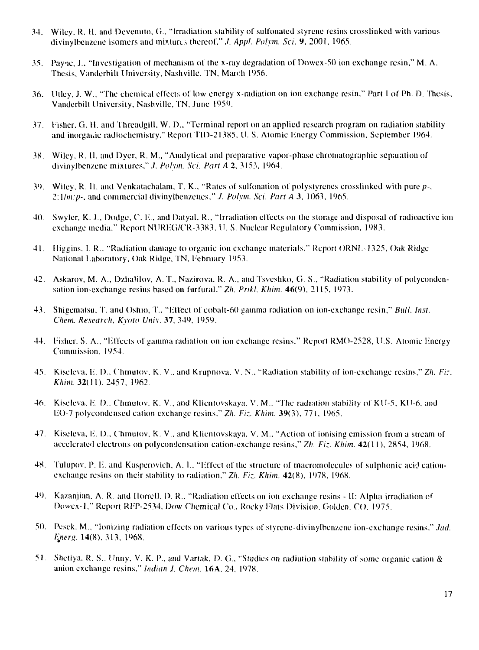- 34. Wiley, R. H. and Devenuto, Ci., "Irradiation stability of sulfnnated slyrene resins crosslinked with various divinylbenzene isomcrs and mixtures thereof," *J. Appl. Polym. Sci. 9,* 2001, 1965.
- 35. Payne, J., "Investigation of mechanism of the x-ray degradation of Dowex-50 ion exchange resin," M. A. Thesis, Vanderbill University, Nashville. TN, March 1956.
- 36. Ulley, J. W., "The chemical effects of low energy x-radialion on ion exchange resin," Part I of Ph. D. Thesis, Vanderbilt University, Nashville, TN, June 1959.
- 37. Fisher. G. H. and Threadgill, W. D., "Terminal report on an applied research program on radiation stability and inorganic radiochemistry," Report TID-21385, U. S. Atomic Energy Commission, September 1964.
- 38. Wiley, R. II. and Dyer, R. M., "Analytical and preparative vapor-phase chromalographic separation of divinylbenzene mixtures," *J. Polym. Sci. Part A* 2, 3153, 1964.
- 3 ( >. Wiley, R. II. and Venkalachalam, T. K., "Rates of sulfonation of polystyrenes crosslinked with pure *p-, 2: \lm:p-.* and commercial divinylbenzenes," ./. *Polym. Sci. Part A* 3, 1063, 1965.
- 40. Swyler, K. J.. Dodge, C. E.. and Datyal, R.. "Irradiation effects on the storage and disposal of radioactive ion exchange media," Report NUREG/CR-3383. 11. S. Nuclear Regulatory Commission. 1983.
- 41. Higgins, I. R., "Radiation damage to organic ion exchange materials," Report ORNI.-1325, Oak Ridge National Laboratory, Oak Ridge. TN. February 1953.
- 42. Askarov, M. A., Dzhalilov, A. T., Nazirova, R. A., and Tsveshko, G. S., "Radiation stability of polycondensation ion-exchange resins based on furfural," *Zh. Prikl. Khim.* 46(9). 2115, 1973.
- 43. Shigematsu, T. and Oshio, T., "Effect of cobalt-60 gamma radiation on ion-exchange resin," *Bull. Inst. Chan. Research, Kyoto Univ.* 37, 349, 1959.
- 44. Fisher. S. A.. "Effects of gamma radiation on ion exchange resins," Report RMO-2528, U.S. Atomic Energy Commission, 1954.
- 45. Kiseleva. E. D., Chmutov. K. V.. and Krupnovn, V. N.. "Radiation stability of ion-exchange resins," *Zh. Fiz. Khun.* 32(11), 2457, 1962.
- 46. Kiseleva. E. D., Chmutov, K. V., and Klicntovskaya. V. M., "The radiation stability of KU-5, KU-6. and EO-7 polycondensed cation exchange resins." *Zh. Fiz. Khim.* 39(3), 771, 1965.
- 47. Kiseleva, E. D., Chmutov, K. V., and Klientovskaya. V. M., "Action of ionising emission from a stream of accelerated electrons on polycondensation cation-exchange resins," *Zh. Fiz. Khim.* 42(11), 2854. 1968.
- 48. Tulupov, P. E. and Kasperovich, A. I.. "Effect of the structure of macromoleeules of sulphonic acid cationexchange resins on their stability to radiation." *Zh. Fiz. Khim.* 42(8), 1978. 1968.
- 49. Kazanjian, A. R. and Uorrell. D. R.. "Radiation effects on ion exchange resins II: Alpha irradiation o\* Dowex-1," Report RFP-2534. Dow Chemical Co., Rocky Flats Division, Golden, CO. 1975.
- 50. Pesek, M., "Ionizing radiation effects on various types of styrene-divinylbenzene ion-exchange resins," *.lad.* Energ. 14(8). 313. 1968.
- 51. Sheliya. R. S., Unny, V. K. P., and Vartak, D. G., "Studies on radiation stability of some organic cation & anion exchange resins." *Indian J. Chem.* 16A, 24, 1978.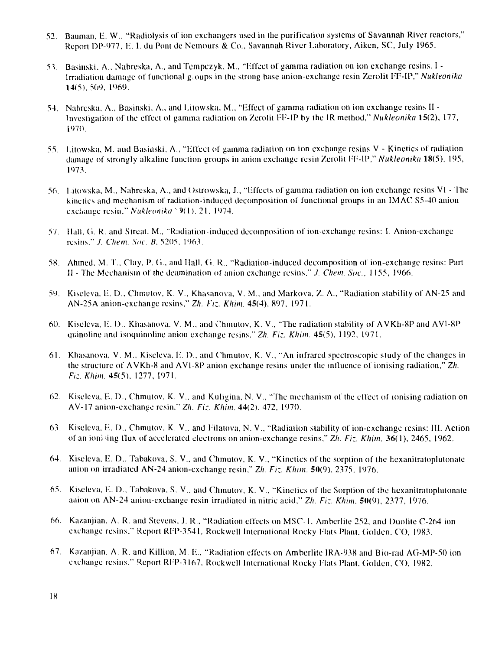- 52. Bauman, E. W., "Radiolysis of ion exchangers used in ihe purification systems of Savannah River reactors," Report DP-977, E. I. du Pont de Nemours & Co., Savannah River Laboratory, Aiken, SC, July 1965.
- 53. Basinski, A., Nabreska, A., and Tempczyk, M., "Effect of gamma radiation on ion exchange resins. I Irradiation damage of functional groups in the strong base anion-exchange resin Zerolit FF-IP," *Nukleonika* 14(5), 50s), l')69.
- 54. Nabrcska. A., Basinski, A., and Litowska, M., "Effect of gamma radiation on ion exchange resins II Investigation of the effect of gamma radiation on Zerolit FF-IP by the IR method," *Nukleonika* 15(2), 177, l ( >70.
- 55. Lilowska, M. and Basinski, A., "Effect of gamma radiation on ion exchange resins V Kinetics of radiation damage of strongly alkaline function groups in anion exchange resin Zerolil FF-IP," *Nukleonika* 18(5), 195, 1973.
- 56. I.itowska, M., Nabreska, A., and Oslrowska, J., "Effects of gamma radiation on ion exchange resins VI The kinetics and mechanism of radiation-induced decomposition of functional groups in an IMAC S5-40 anion exchange resin," *Nukleonika* ' 9(1), 21. 1974.
- 57. Hall, G. R. and Streat, M., "Radiation-induced decomposition of ion-exchange resins: I. Anion-exchange resins," *J. Chem. Soc. B*, 5205, 1963.
- 58. Ahmed, M. T., Clay, P. G., and Hall, Ci. R.. "Radiation-induced decomposition of ion-exchange resins: Part i'J - The Mechanism of the deamination of anion exchange resins," ./. *Chem. Soc,* 1155, J966.
- 59. Kiseleva. E. D., Chmutov, K. V., Khasanova, V. M., and Markova, Z. A., "Radiation stability of AN-25 and AN-25A anion-exchange resins." *Zh. Fiz. Khun.* 45(4), 897, 1971.
- 60. Kiseleva, E. D., Khasanova, V. M., and Chmutov, K. V., "The radiation stability of AVKh-8P and AVI-8P quinoline and isoquinoline anion exchange resins," *Zh. Fiz. Khim.* 45(5), 1192, 1971.
- 61. Khasanova, V. M., Kiseleva, E. D., and Chmutov, K. V., "An infrared spectroscopic study of the changes in the structure of AVKh-8 and AVI-8P anion exchange resins under the influence of ionising radiation," *Zh. FK.. Khun.* 45(5). 1277, 1971.
- 62. Kiseleva, E. D., Chmutov, K. V., and Kuligina, N. V., "The mechanism of the effect of ionising radiation on AV-I7 anion-exchange resin." *Zh. Fiz. Khim.* 44(2). 472, 1970.
- 63. Kiseleva, E. D., Chmutov, K. V., and Filatova, N. V., "Radiation stability of ion-exchange resins: III. Action of an ion; .ing flux of accelerated electrons on anion-exchange resins," *Zh. Fiz. Khim.* 36(1), 2465, 1962.
- 64. Kiseleva, E. D., Tabakova, S. V., and Chmutov, K. V., "Kinetics of the sorption of the hexanitratoplulonate anion on irradiated AN-24 anion-exchange resin," *Zh. Fiz. Khim.* 50(9), 2375, 1976.
- 65. Kiseleva, E. D., Tabakova, S. V., and Chmutov, K. V., "Kinetics of the Sorption of the hexanitratoplutonate aaion on AN-24 anion-exchange resin irradiated in nitric acid," Zh. Fiz. Khim. **50**(9), 2377, 1976.
- 66. Kazanjian. A. R. and Stevens, J. R., "Radiation effects on MSC-1, Amberlite 252, and Duolitc C-264 ion exchange resins." Report RFP-3541, Rockwell International Rocky Flats Plant, Golden, CO, 1983.
- 67. Kazanjian, A. R. and Killion, M. E., "Radiation effects on Amberlite IRA-938 and Bio-rad AG-MP-50 ion exchange resins." Report RFP-3167, Rockwell International Rocky Flats Plant, Golden, CO, 1982.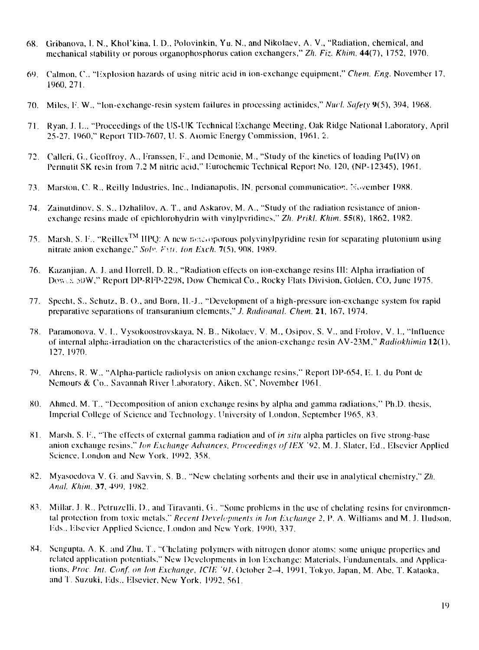- 68. Gribanova, 1. N., Khol'kina, I. D., Polovinkin, Yu. N., and Nikolaev, A. V., "Radiation, chemical, and mechanical stability or porous organophosphorus cation exchangers," *Zh. Fiz. Khim.* 44(7), 1752, 1970.
- 6 l ). Calmon, C, "Hxplosion hazards of using nitric acid in ion-exchange equipment," *Chem. Eng.* November 17, 1960,271.
- 70. Miles, 1\ W., "Ion-exchange-resin system failures in processing actinides," *Nucl. Safety 9(5),* 394, 1968.
- 71. Ryan, J. L., "Proceedings of the US-UK Technical Exchange Meeting, Oak Ridge National Laboratory, April 25-27, I960," Report T1D-7607, U. S. Atomic Tinergy Commission, 1961, 2.
- 72. Calleri, G., Geoffroy, A., Franssen, F., and Demonie, M., "Study of the kinetics of loading Pu(IV) on Pennutit SK resin from 7.2 M nitric acid," liurochemie Technical Repor! No. 120, (NP-12345), 1961.
- 73. Marston, C. R., Reilly Industries, Inc., Indianapolis, IN, personal communication. N\'vcmber 1988.
- 74. Zainutdinov. S. S., Dzhalilov, A. T., and Askarov, M. A., "Study of the radiation resistance of anionexchange resins made of epichlorohydrin with vinylpvridines," Zh. Prikl. Khim. 55(8), 1862, 1982.
- 75. Marsh, S. F., "Reillex<sup>TM</sup> HPQ: A new netwoporous polyvinylpyridine resin for separating plutonium using nitrate anion exchange," *Soh: r\u. ion Lull.* 7(5), 908, 19X9.
- 76. Kazanjian, A. J. and Horrell, D. R., "Radiation effects on ion-exchange resins III: Alpha irradiation of Dowes 50W," Report DP-RFP-2298, Dow Chemical Co., Rocky Flats Division, Golden, CO, June 1975.
- 77. Speeht, S., Schutz, B. ()., and Born, II.-J., "Development of a high-pressure ion-exchange system for rapid preparative separations of transuranium elements," *J. Radioanal. Chem.* 21, 167, 1974.
- 78. Panunonova. V. I., Vysokoostrovskaya, N. B., Nikolaev, V. M., Osipov, S. V., and Frolov, V. I., "Influence of internal alpha-irradiation on the characteristics of the anion-exehangc resin AV-23M," *Radiokhimia* 12(1), 127. 1970.
- 79. Ahrens, R. W.. "Alpha-particle radiolysis on anion exchange resins," Report DP-654, P.. I. du Pont de Nemours & Co., Savannah River Laboratory, Aiken, SC\ November 1961.
- 80. Ahmed, M. I., "Decomposition of anion exchange resins by alpha and gamma radiations," Ph.D. thesis, Imperial College of Science and Technology. University of London, September 1965, 83.
- 81. Marsh. S. l\, "The effects of external gamma radiation and of *in situ* alpha particles on five strong-base anion exchange resins," *Ion Exchange Advances, Proceedings of IEX* '92, M. J. Slater, Ed., Elsevier Applied Science, London and New York, 1992, 358.
- 82. Myasoedova V. G. and Savvin, S. B.. "New etiolating sorbents and their use in analytical chemistry," *Zh. Anal. Khan.* 37. 499, 1982.
- 83. Millar, J. R., Petruzelli, D., and Tiravanti, G., "Some problems in the use of chelating resins for environmental protection from toxic metals." *Recent Developments in Ion Exchange 2.* P. A. Williams and M. J. Hudson, Eds., Elsevier Applied Science, London and New York. 1990, 337.
- 84. Sengupta. A. K. and Zhu. L, "Chclating polymers with nitrogen donor atoms: some unique properties and related application potentials," New Developments in Ion lixchange: Materials, Fundamentals, and Applications, *Proc. Int. Conf. on Ion Exchange, ICIE '91.* October 2^4, 1991, 'Tokyo, Japan, M. Abe, T. Kataoka, and T. Suzuki, Eds., Elsevier, New York, 1992, 561.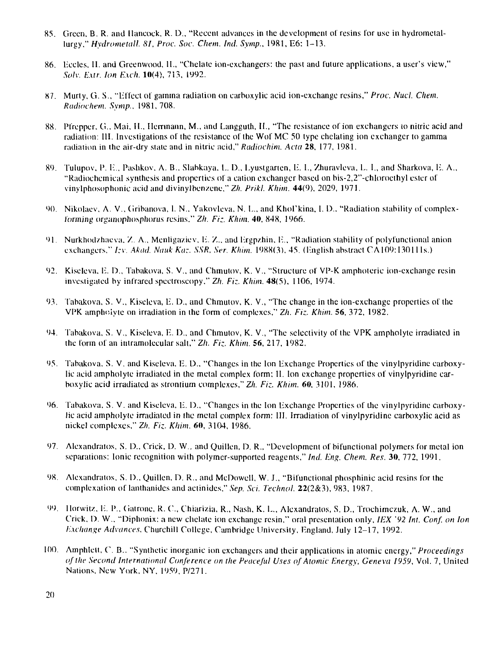- 85. Green, B. R. anil Hancock, R. D., "Recent advances in the development of resins for use in hydrometallurgy," *Hydrometall. 81, Proc. Soc. Chem. Ind. Symp.*, 1981, E6: 1-13.
- 86. liccles, H. and Greenwood, II., "Chelate ion-exchangers: the past and future applications, a user's view," *Solv. E.xtr. Ion Exch.* 10(4), 713, 1992.
- 87. Murty, G. S., "liffect of gamma radiation on carboxylic acid ion-exchange resins," *Proc. Nuct. Cliem. Rudwchem. Symp.,* 1981,708.
- 88. Pfrepper. G., Mai, II., Herrmann, M., and Langguth, H., "The resistance of ion exchangers to nitric acid and radiation: III. Investigations of the resistance of the Wof MC 50 type chclating ion exchanger to gamma radiation in the air-dry state and in nitric acid," Radiochim. Acta 28, 177, 1981.
- 89. Tulupov, I'. E., Pashkov. A. B., Slahkaya. L. D., Lyuslgarten, E. I., /huravleva, L. I., and Sharkova, E. A., "Radiochemical synthesis and properties of a cation exchanger based on bis-2,2"-chloroethyl ester of vinyiphosophonic acid and divinylbenzene," *Zh. Prikl. Khim.* 44(9). 2029, 1971.
- 90. Nikolaev, A. V., Gribanova, 1. N., Yakovleva, N. L., and Khol'kina, I. D., "Radiation stability of complexforming organophosphorus resins." *Zh. Fiz. Khim.* 40, 848, 1966.
- 91. Nurkhodzhaeva, Z. A., Menligaziev, E. Z., and Ergpzhin, E., "Radiation stability of polyfunctional anion exchangers," *Izv. Aknd. Nuuk Kaz, SSR, Ser. Khim.* 1988(3). 45. (English abstract CA1O9:13O11 Is.)
- 92. Kiseleva, E. D., Tabakova, S. V., and Chmutov, K. V., "Structure of VP-K amphoteric ion-exchange resin investigated by infrared speclroscopy," *Zh. Ft:.. Khim.* 48(5), 1106, 1974.
- 93. Tabakova, S. V., Kiseleva, E. D., and Chmutov, K. V., "The change in the ion-exchange properties of the VPK amphclylc on irradiation in the form of complexes," *Zh. Fiz. Khim.* 56, 372, 1982.
- 94. Tabakova, S. V., Kiseleva, E. D., and Chmutov, K. V., "The selectivity of the VPK ampholytc irradiated in the form of an intramolecular salt," *Zh. Fiz. Khim.* 56, 217, 1982.
- 95. Tabakova. S. V. and Kiseleva, E. D., "Changes in the Ion Exchange Properties of the vinylpyridine carboxylic acid ampholyte irradiated in the metal complex form; II. Ion exchange properties of vinylpyridine carboxylic acid irradiated as strontium complexes," *Zh. Fiz. Khim.* 60. 3101, 1986.
- 96. Tabakova. S. V. and Kiseleva, E. D., "Changes in the Ion Exchange Properties of the vinylpyridine carboxylic acid ampholyte irradiated in the metal complex form: III. Irradiation of vinylpyridine carboxylic acid as nickel complexes," *Zh. Fiz. Khim.* 60, 3104, 1986.
- 97. Alexandraios, S. D., Crick, D. W.. and Quillen, D. R., "Development of bifunctional polymers for metal ion separations: Ionic recognition with polymer-supported reagents," *lnd. Eng. Chem. Res.* 30, 772, 1991.
- 98. Alexandratos, S. I)., Quillen, D. R.. and McDowell, W. J., "Bifunctional phosphinic acid resins for the complexation of lanthanides and actinides," *Sep. Sci. Techno I.* 22(2&3), 983, 1987.
- 99. llorwitz. E. P.. Gatrone, R. C, Chiarizia. R., Nash, K. E., Alexandratos, S. D., Trochimczuk, A. W., and Crick, D. W., "Diphonix: a new chelate ion exchange resin," oral presentation only, *IEX '92 Int. Conf. on Ion Exchange Advances.* Churchill College, Cambridge University, England, July 12-17, 1992.
- 100. Amphlett, C. B.. "Synthetic inorganic ion exchangers and their applications in atomic energy," *Proceedings of the Second International Conference on the Peaceful Uses of Atomic Energy, Geneva 1959,* Vol. 7, United Nations, New York, NY, 1959, P/271.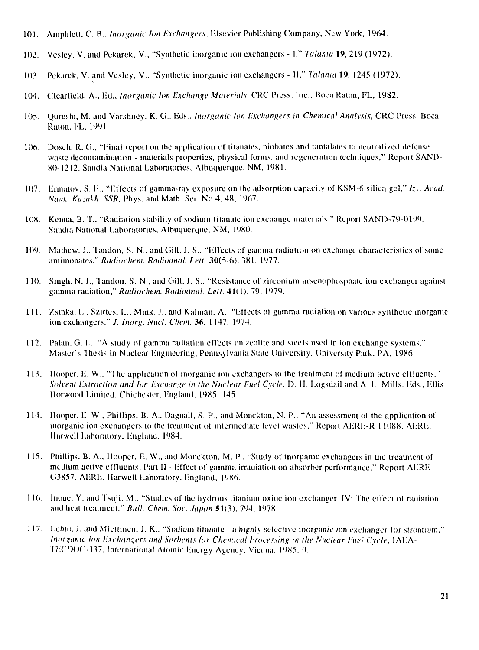- 101. Amphlett, C. B., *Inorganic km Exchangers,* Elsevier Publishing Company, New York, 1964.
- 102. Vcsley. V. and Pekarck, V., "Synthetic inorganic ion exchangers 1," *Talania* 19, 219 (1972).
- 103. Pekarek, V. and Vesley, V.. "Synthetic inorganic ion exchangers II," *Talania* 19, 1245 (1972).
- 104. Clearfield, A., lid., *Inorganic km Exchange Materials,* CRC Press, Inc.. Boca Raton, FL, 1982.
- 105. Qureshi, M. and Varshney, K. G., Eds., *Inorganic Ion Exchangers in Chemical Analysis,* CRC Press, Boca Raton. FL, 1991.
- 106. Doseh, R. (i., "Final report on the application of titanates, niobates and tantalates to neutralized defense waste decontamination - materials properties, physical forms, and regeneration techniques," Report SAND-80-1212, Sandia National Laboratories, Albuquerque, NM, 1981.
- 107. Ennalov, S. 1:.. "F.ffects of gamma-ray exposure on the adsorption capacity of KSM-6 silica gel," *Izv. Acacl. Nauk. Kazakh. SSR,* Phys. and Math. Ser. No.4, 48, 1967.
- 108. Kenna, B. T., "Radiation stability of sodium titanate ion exchange materials," Report SAND-79-0199, Sandia National Laboratories, Albuquerque, NM, 1980.
- 109. Mathew, J., Tandon, S. N., and Gill, J. S., "Effects of gamma radiation on exchange characteristics of some antimonates," Radiochem. Radioanal. Lett. 30(5-6), 381, 1977.
- 110. Singh, N. J., Tandon, S. N., and Gill, J. S., "Resistance of zirconium arseuophosphate ion exchanger against gamma radiation," *Radiochem. Radioanal. Lett.* 41(1), 79, 1979.
- 111. Zsinka, L., Szirtes, L., Mink, J., and Kalman. A.. "Fffects of gamma radiation on various synthetic inorganicion exchangers," *J. Inorg. Nucl. Chem.* 36, 1147, 1974.
- 112. Palau, G. I.., "A study of gamma radiation effects on zeolite and steels used in ion exchange systems," Master's Thesis in Nuclear Engineering, Pennsylvania Slate University, University Park, PA, 1986.
- 113. Hooper, E. W., "The application of inorganic ion exchangers io the treatment of medium active effluents," *Solvent Extraction ami Ion Exchange in the Nuclear Fuel Cycle, D.* II. Logsdail and A. L Mills, Eds., Ellis IIorwood Limited, Chichesler, England, 1985, 145.
- 114. Hooper. E. W., Phillips. B. A., Dagnall, S. P.. and Moncklon, N. P., "An assessment of the application of inorganic ion exchangers to the treatment of intermediate level wastes," Report AERE-R 11088, AERE, Harwell Laboratory, England, 1984.
- 115. Phillips, B. A., Hooper, E. W., and Monckton, M. P., "Study of inorganic exchangers in the treatment of medium active effluents. Part II - Effect of gamma irradiation on absorber performance," Report AERE-G3857. AERE. Harwell Laboratory. England. 1986.
- 116. Inoue, Y. and Tsuji, M., "Studies of the hydrous titanium oxide ion exchanger. IV: The effect of radiation and heat treatment." *Bull. Chem. Soc. Japan* 51(3), 794, 1978.
- 117. Lehto, J. and Miettinen, J. K.. "Sodium titanate a highly selective inorganic ion exchanger for strontium," *Inorganic Ion Exchangers anil Sorhems for Chemical Processing in the Nuclear Fuel Cycle,* IAEA-TECDOC-337, International Atomic Energy Agency, Vienna, 1985, 9.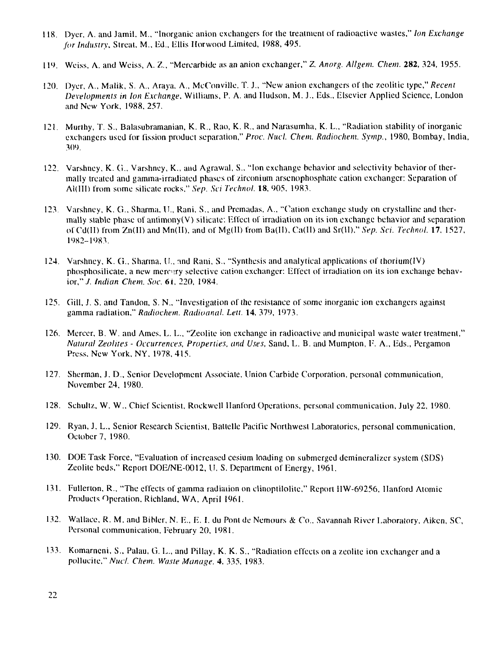- 118. Dyer, A. and Jamil, M., "Inorganic anion exchangers for ihe treatment of radioactive wastes," *Ion Exchange for Industry,* Streat. M., Ed., Ellis Horwood Limited, 1988, 495.
- 11<sup>1</sup> ). Weiss, A. and Weiss, A. Z., "Mercarbide as an anion exchanger," *Z. Anorg. Allgem. Chem.* 282, 324, 1955.
- 120. Dyer, A., Malik, S. A., Araya, A., McConville, T. J., "New anion exchangers of the zeolilic type," *Recent Developments in Ion Exchange.* Williams, P. A. and Hudson, M. J., Eds., Elsevicr Applied Science, London and New York, 1988, 257.
- 121. Murihy, T. S., Balasubramanian, K. R., Rao, K. R., and Narasumha, K. L., "Radiation stability of inorganic exchangers used for fission product separation," *Proc. Nucl. Chem. Radiochem. Symp.,* 1980, Bombay, India, 309.
- 122. Varshney, K. G., Varshney, K... and Agrawal, S., "Ion exchange behavior and selectivity behavior of thermally treated and gamma-irradiated phases of zirconium arsenophosphate cation exchanger: Separation of Al(lll) from some silicate rocks," *Sep. Sci Technol.* 18, 905. 1983.
- 123 Varshney, K. G., Sharma, U., Rani, S., and Premadas, A., "Cation exchange study on crystalline and thermally stable phase of antimony(V) silicate: Effect of irradiation on its ion exchange behavior and separation of Cd(Il) from Zn(II) and Mn(II), and of Mg(II) from Ba(II). Ca(II) and Sr(ll)," *Sep. Sci. Technol.* 17, 1527, 1982-1983.
- 124. Varshney, K. G., Sharma, U., and Rani, S., "Synthesis and analytical applications of thorium(IV) phosphosilicate, a new mercery selective cation exchanger: Effect of irradiation on its ion exchange behavior,"./. *Indian Chem. Sot;* 6i, 220, 1984.
- 125. Gill, J. S. and Tandon, S. N., "Investigation of Ihe resistance of some inorganic ion exchangers against gamma radiation." *Radiochem. Radioanal. Leu.* 14, 379, 1973.
- 126. Mercer, B. W. and Ames. L. L., "Zeolite ion exchange in radioactive and municipal waste water treatment," *Natural Zeolites - Occurrences, Properties, and Uses,* Sand, L. B. and Mumpton, F. A., Eds., Pergamon Press. New York, NY. 1978. 415.
- 127. Sherman, J. D., Senior Development Associate, Union Carbide Corporation, personal communication, November 24, 1980.
- 128. Schultz, W. W.. Chief Scientist, Rockwell Hanford Operations, personal communication, July 22, 1980.
- 129. Ryan, J. L., Senior Research Scientist, Battelle Pacific Northwest Laboratories, personal communication, October 7, 1980.
- 130. DOE Task Force, "Evaluation of increased cesium loading on submerged dcmineralizer system (SDS) Zeolite beds," Report DOE/NE-0012, LI. S. Department of Energy, 1961.
- 131. Fullerton, R., "The effects of gamma radiation on clinoptilolite," Report HW-69256, Ilanford Atomic Products Operation. Richland, WA, April 1961.
- 132. Wallace, R. M. and Bibler, N. E., E. I. du Pont dc Nemours & Co.. Savannah River Laboratory, Aikcn, *SC,* Personal communication, February 20, 1981.
- 133. Komarneni, S., Palau, G. L., and Pillay. K. K. S., "Radiation effects on a zeolite ion exchanger and a pollucite," *Nucl. Chem. Waste Manage.* 4, 335, 1983.